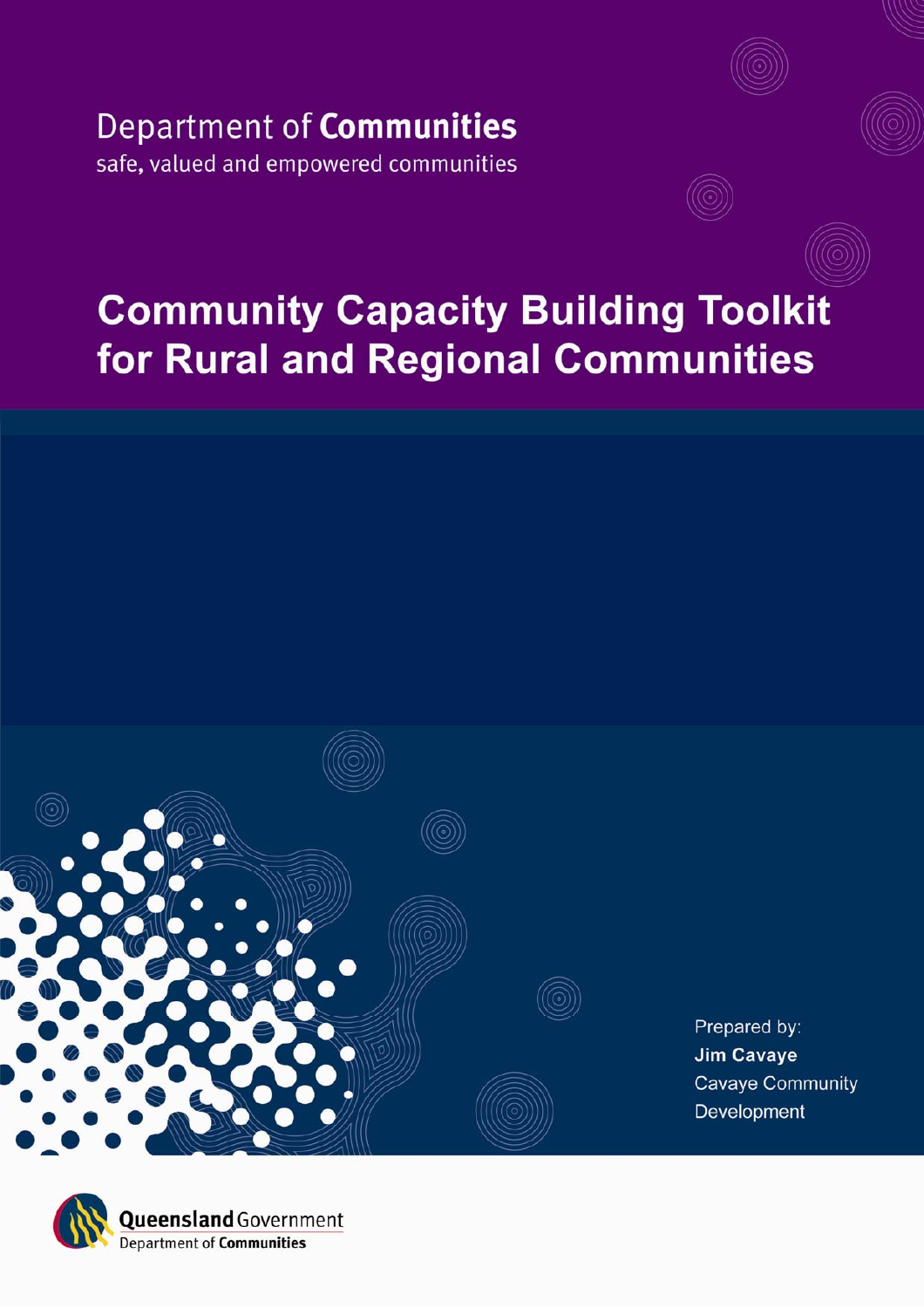# Department of Communities safe, valued and empowered communities

# **Community Capacity Building Toolkit** for Rural and Regional Communities



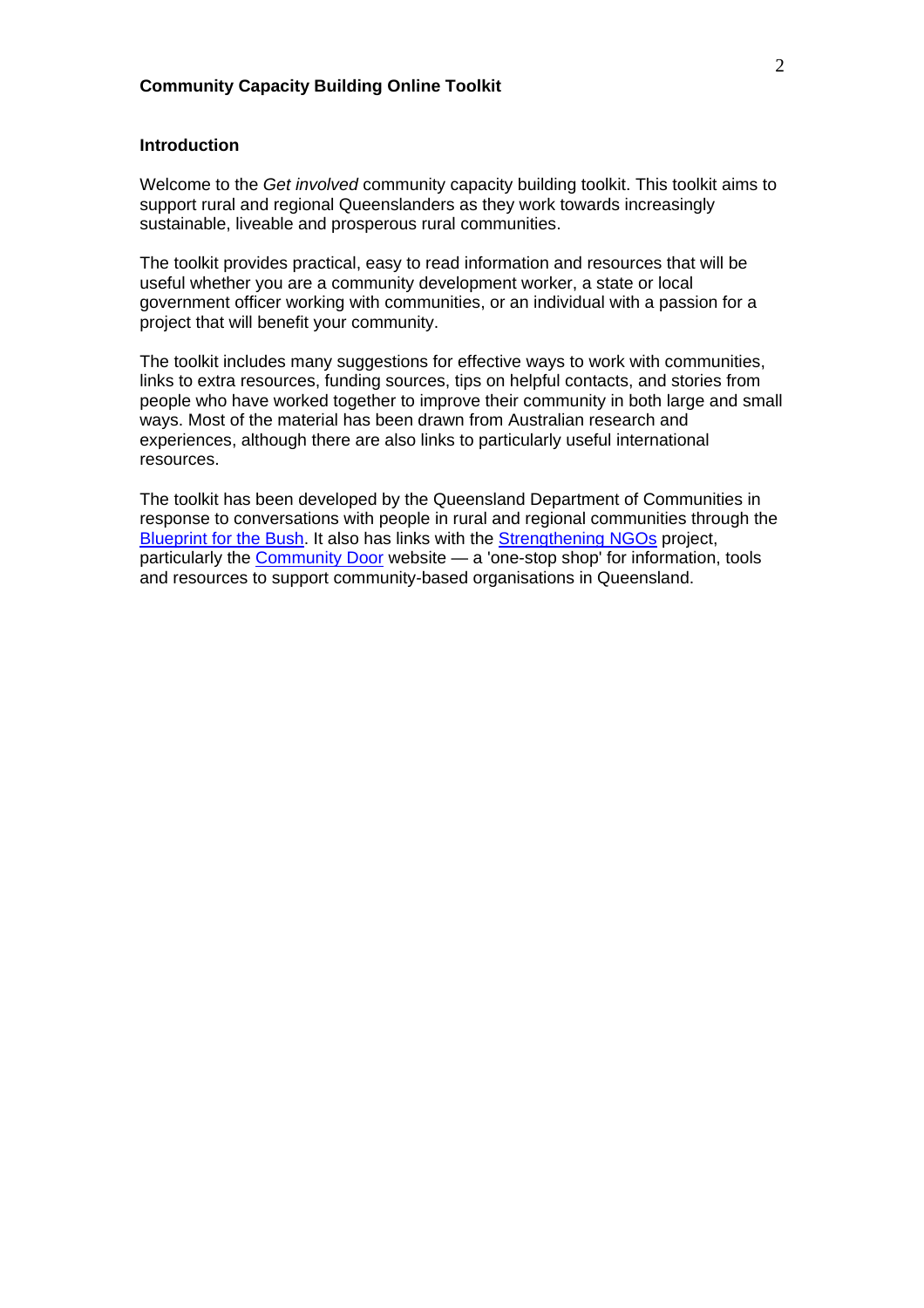# **Community Capacity Building Online Toolkit**

#### **Introduction**

Welcome to the *Get involved* community capacity building toolkit. This toolkit aims to support rural and regional Queenslanders as they work towards increasingly sustainable, liveable and prosperous rural communities.

The toolkit provides practical, easy to read information and resources that will be useful whether you are a community development worker, a state or local government officer working with communities, or an individual with a passion for a project that will benefit your community.

The toolkit includes many suggestions for effective ways to work with communities, links to extra resources, funding sources, tips on helpful contacts, and stories from people who have worked together to improve their community in both large and small ways. Most of the material has been drawn from Australian research and experiences, although there are also links to particularly useful international resources.

The toolkit has been developed by the Queensland Department of Communities in response to conversations with people in rural and regional communities through the [Blueprint for the Bush.](http://www.communities.qld.gov.au/community/regional/blueprint/) It also has links with the [Strengthening NGOs](http://www.communities.qld.gov.au/community/strengthening_ngos/) project, particularly the [Community Door](http://www.qld.gov.au/ngo/) website — a 'one-stop shop' for information, tools and resources to support community-based organisations in Queensland.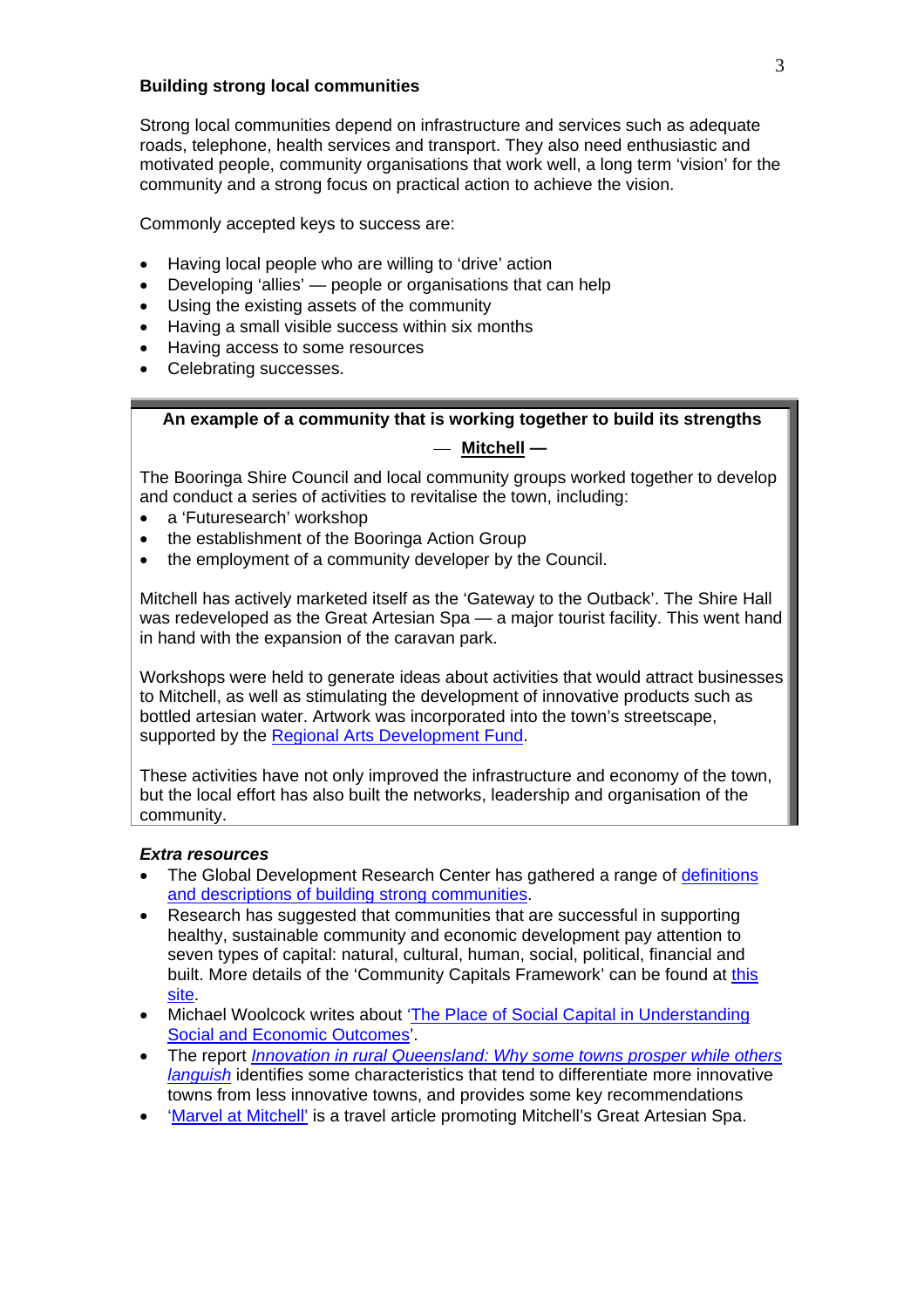#### **Building strong local communities**

Strong local communities depend on infrastructure and services such as adequate roads, telephone, health services and transport. They also need enthusiastic and motivated people, community organisations that work well, a long term 'vision' for the community and a strong focus on practical action to achieve the vision.

Commonly accepted keys to success are:

- Having local people who are willing to 'drive' action
- Developing 'allies' people or organisations that can help
- Using the existing assets of the community
- Having a small visible success within six months
- Having access to some resources
- Celebrating successes.

#### **An example of a community that is working together to build its strengths**

#### — **[Mitchell](http://www.maranoa.org.au/shires/booringa/mitchell.htm) —**

The Booringa Shire Council and local community groups worked together to develop and conduct a series of activities to revitalise the town, including:

- a 'Futuresearch' workshop
- the establishment of the Booringa Action Group
- the employment of a community developer by the Council.

Mitchell has actively marketed itself as the 'Gateway to the Outback'. The Shire Hall was redeveloped as the Great Artesian Spa — a major tourist facility. This went hand in hand with the expansion of the caravan park.

Workshops were held to generate ideas about activities that would attract businesses to Mitchell, as well as stimulating the development of innovative products such as bottled artesian water. Artwork was incorporated into the town's streetscape, supported by the [Regional Arts Development Fund.](http://www.arts.qld.gov.au/funding/radf.html)

These activities have not only improved the infrastructure and economy of the town, but the local effort has also built the networks, leadership and organisation of the community.

#### *Extra resources*

- The Global Development Research Center has gathered a range of [definitions](http://www.gdrc.org/uem/capacity-define.html)  [and descriptions of building strong communities.](http://www.gdrc.org/uem/capacity-define.html)
- Research has suggested that communities that are successful in supporting healthy, sustainable community and economic development pay attention to seven types of capital: natural, cultural, human, social, political, financial and built. More details of the 'Community Capitals Framework' can be found at this [site](http://www.ncrcrd.iastate.edu/projects/commcap/7-capitalshandout.pdf).
- Michael Woolcock writes about '[The Place of Social Capital in Understanding](http://www.oecd.org/dataoecd/5/13/1824913.pdf)  [Social and Economic Outcomes'](http://www.oecd.org/dataoecd/5/13/1824913.pdf).
- The report *[Innovation in rural Queensland: Why some towns prosper while others](http://www.business.uq.edu.au/download/attachments/6553737/innovationruralqldmain.pdf)  [languish](http://www.business.uq.edu.au/download/attachments/6553737/innovationruralqldmain.pdf)* identifies some characteristics that tend to differentiate more innovative towns from less innovative towns, and provides some key recommendations
- ['Marvel at Mitchell'](http://travelaustralia.ninemsn.com.au/article.aspx?id=124218) is a travel article promoting Mitchell's Great Artesian Spa.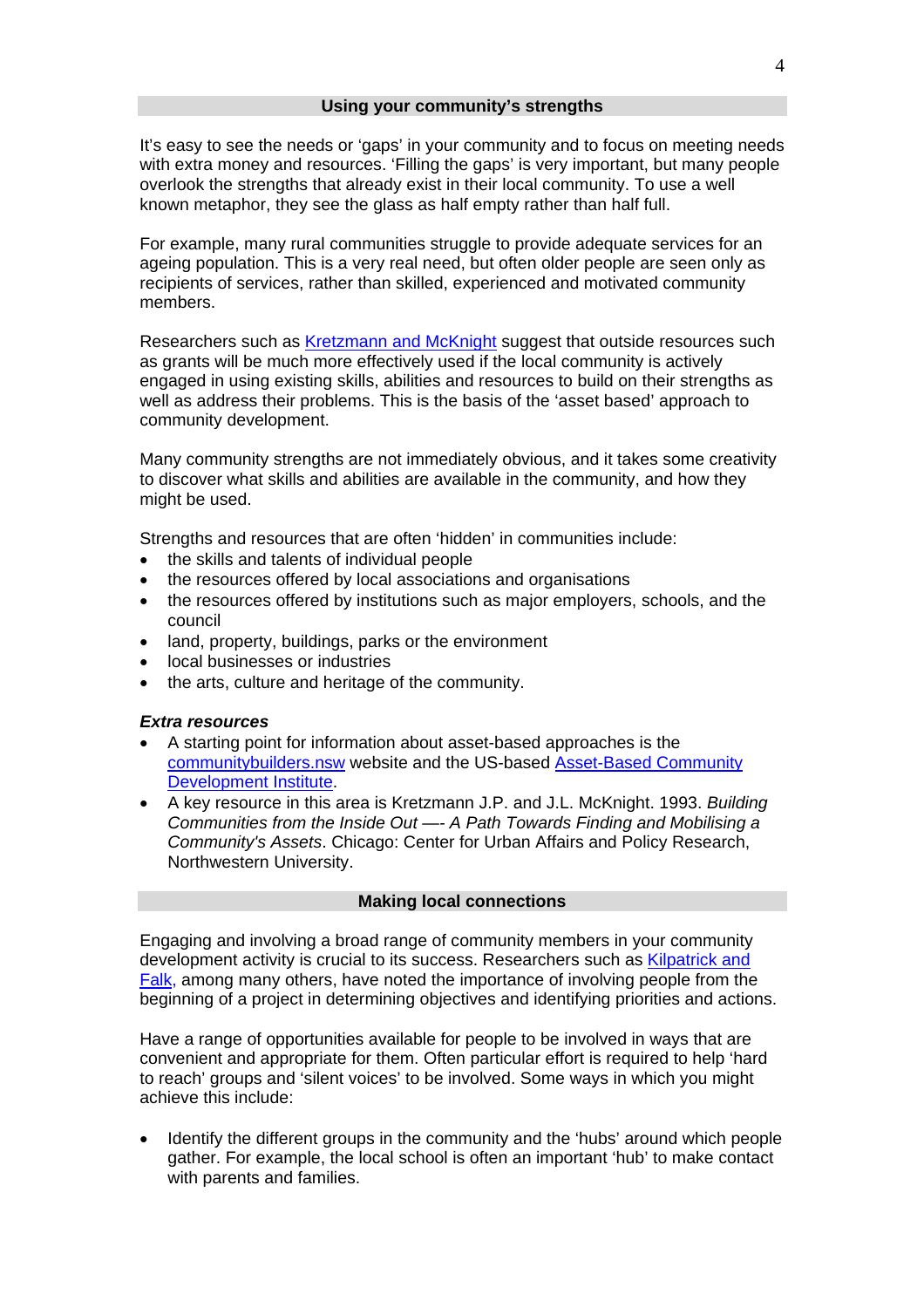<span id="page-3-0"></span>It's easy to see the needs or 'gaps' in your community and to focus on meeting needs with extra money and resources. 'Filling the gaps' is very important, but many people overlook the strengths that already exist in their local community. To use a well known metaphor, they see the glass as half empty rather than half full.

For example, many rural communities struggle to provide adequate services for an ageing population. This is a very real need, but often older people are seen only as recipients of services, rather than skilled, experienced and motivated community members.

Researchers such as [Kretzmann and McKnight](#page-3-0) suggest that outside resources such as grants will be much more effectively used if the local community is actively engaged in using existing skills, abilities and resources to build on their strengths as well as address their problems. This is the basis of the 'asset based' approach to community development.

Many community strengths are not immediately obvious, and it takes some creativity to discover what skills and abilities are available in the community, and how they might be used.

Strengths and resources that are often 'hidden' in communities include:

- the skills and talents of individual people
- the resources offered by local associations and organisations
- the resources offered by institutions such as major employers, schools, and the council
- land, property, buildings, parks or the environment
- local businesses or industries
- the arts, culture and heritage of the community.

#### *Extra resources*

- A starting point for information about asset-based approaches is the [communitybuilders.nsw](http://www.communitybuilders.nsw.gov.au/getting_started/needs/abcd.html) website and the US-based [Asset-Based Community](http://www.sesp.northwestern.edu/abcd/)  [Development Institute](http://www.sesp.northwestern.edu/abcd/).
- A key resource in this area is Kretzmann J.P. and J.L. McKnight. 1993. *Building Communities from the Inside Out —- A Path Towards Finding and Mobilising a Community's Assets*. Chicago: Center for Urban Affairs and Policy Research, Northwestern University.

#### **Making local connections**

Engaging and involving a broad range of community members in your community development activity is crucial to its success. Researchers such as Kilpatrick and [Falk,](#page-4-0) among many others, have noted the importance of involving people from the beginning of a project in determining objectives and identifying priorities and actions.

Have a range of opportunities available for people to be involved in ways that are convenient and appropriate for them. Often particular effort is required to help 'hard to reach' groups and 'silent voices' to be involved. Some ways in which you might achieve this include:

• Identify the different groups in the community and the 'hubs' around which people gather. For example, the local school is often an important 'hub' to make contact with parents and families.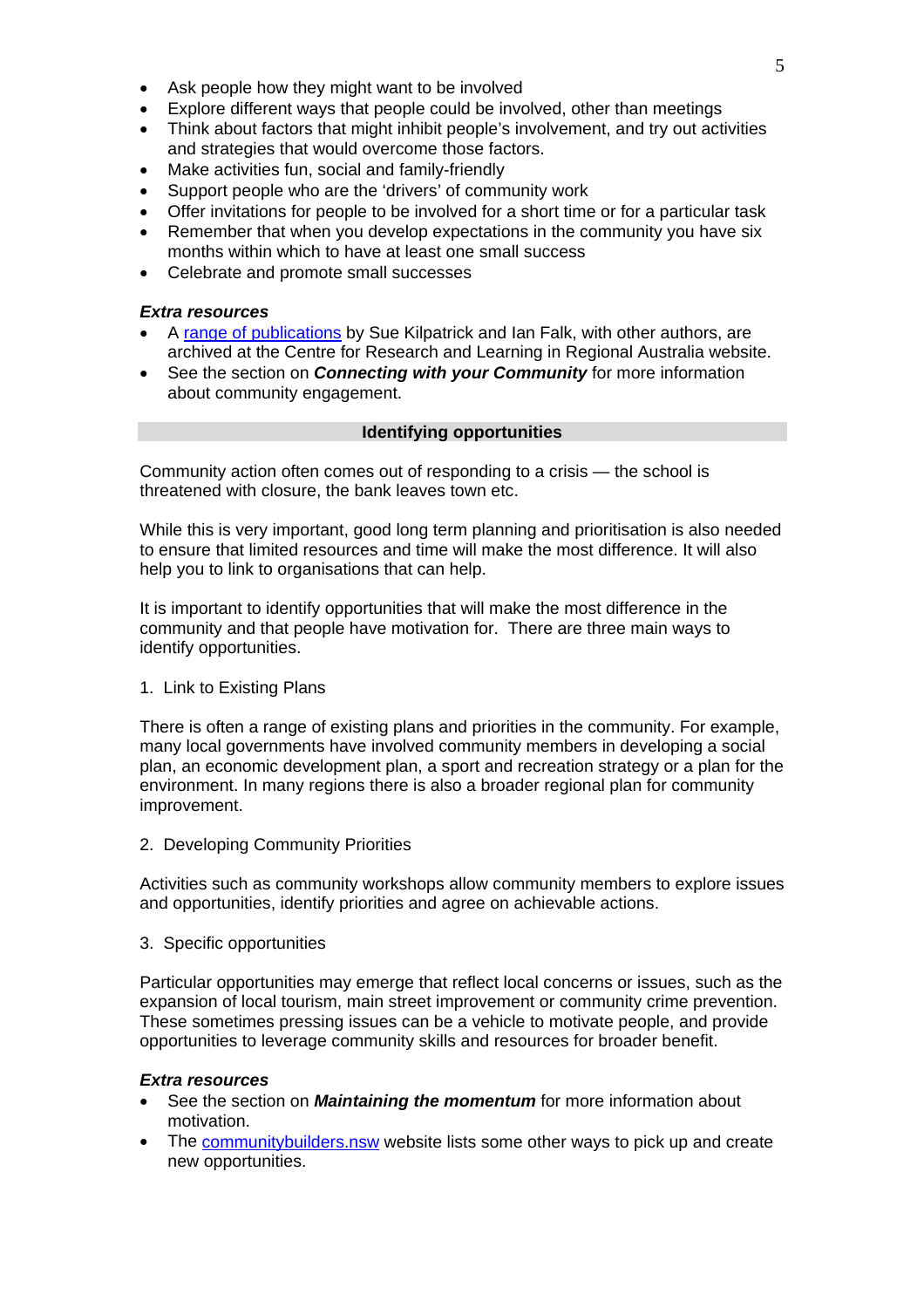- <span id="page-4-0"></span>• Ask people how they might want to be involved
- Explore different ways that people could be involved, other than meetings
- Think about factors that might inhibit people's involvement, and try out activities and strategies that would overcome those factors.
- Make activities fun, social and family-friendly
- Support people who are the 'drivers' of community work
- Offer invitations for people to be involved for a short time or for a particular task
- Remember that when you develop expectations in the community you have six months within which to have at least one small success
- Celebrate and promote small successes

#### *Extra resources*

- A [range of publications](http://www.crlra.utas.edu.au/) by Sue Kilpatrick and Ian Falk, with other authors, are archived at the Centre for Research and Learning in Regional Australia website.
- See the section on *Connecting with your Community* for more information about community engagement.

#### **Identifying opportunities**

Community action often comes out of responding to a crisis — the school is threatened with closure, the bank leaves town etc.

While this is very important, good long term planning and prioritisation is also needed to ensure that limited resources and time will make the most difference. It will also help you to link to organisations that can help.

It is important to identify opportunities that will make the most difference in the community and that people have motivation for. There are three main ways to identify opportunities.

#### 1. Link to Existing Plans

There is often a range of existing plans and priorities in the community. For example, many local governments have involved community members in developing a social plan, an economic development plan, a sport and recreation strategy or a plan for the environment. In many regions there is also a broader regional plan for community improvement.

2. Developing Community Priorities

Activities such as community workshops allow community members to explore issues and opportunities, identify priorities and agree on achievable actions.

3. Specific opportunities

Particular opportunities may emerge that reflect local concerns or issues, such as the expansion of local tourism, main street improvement or community crime prevention. These sometimes pressing issues can be a vehicle to motivate people, and provide opportunities to leverage community skills and resources for broader benefit.

#### *Extra resources*

- See the section on *Maintaining the momentum* for more information about motivation.
- The communitybuilders, nsw website lists some other ways to pick up and create new opportunities.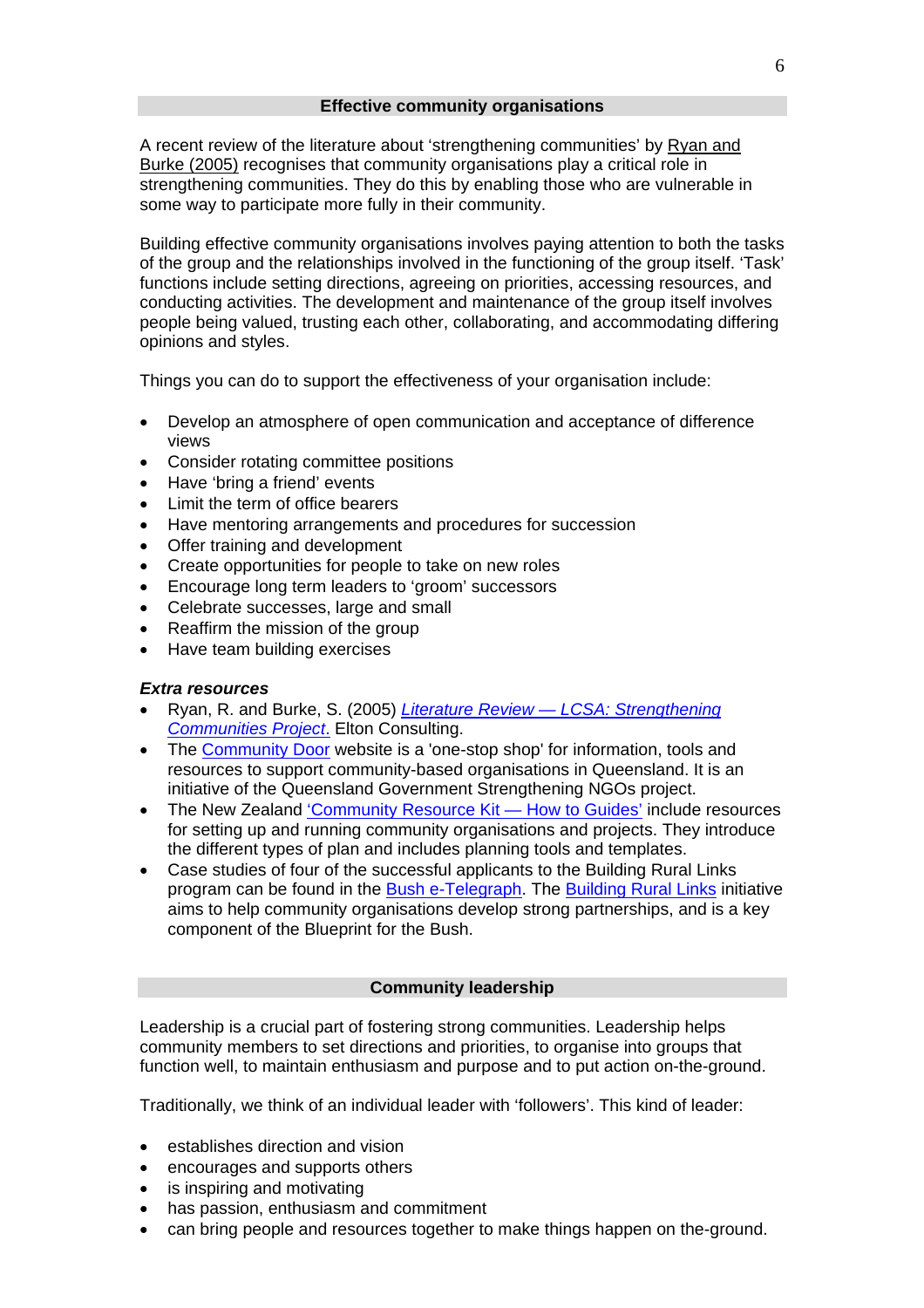<span id="page-5-0"></span>A recent review of the literature about 'strengthening communities' by [Ryan and](#page-5-0)  [Burke \(2005\)](#page-5-0) recognises that community organisations play a critical role in strengthening communities. They do this by enabling those who are vulnerable in some way to participate more fully in their community.

Building effective community organisations involves paying attention to both the tasks of the group and the relationships involved in the functioning of the group itself. 'Task' functions include setting directions, agreeing on priorities, accessing resources, and conducting activities. The development and maintenance of the group itself involves people being valued, trusting each other, collaborating, and accommodating differing opinions and styles.

Things you can do to support the effectiveness of your organisation include:

- Develop an atmosphere of open communication and acceptance of difference views
- Consider rotating committee positions
- Have 'bring a friend' events
- Limit the term of office bearers
- Have mentoring arrangements and procedures for succession
- Offer training and development
- Create opportunities for people to take on new roles
- Encourage long term leaders to 'groom' successors
- Celebrate successes, large and small
- Reaffirm the mission of the group
- Have team building exercises

#### *Extra resources*

- Ryan, R. and Burke, S. (2005) *[Literature Review LCSA: Strengthening](http://www.lcsa.org.au/images/documents/strengthening_com_entire_report.pdf)  [Communities Project](http://www.lcsa.org.au/images/documents/strengthening_com_entire_report.pdf)*. Elton Consulting.
- The [Community Door](http://www.qld.gov.au/ngo/) website is a 'one-stop shop' for information, tools and resources to support community-based organisations in Queensland. It is an initiative of the Queensland Government Strengthening NGOs project.
- The New Zealand ['Community Resource Kit How to Guides'](http://www.community.net.nz/how-toguides/crk/planning/) include resources for setting up and running community organisations and projects. They introduce the different types of plan and includes planning tools and templates.
- Case studies of four of the successful applicants to the Building Rural Links program can be found in the [Bush e-Telegraph](http://www.communities.qld.gov.au/community/regional/blueprint/e-telegraph/2007/edition2/building-rural-links.html). The [Building Rural Links](http://www.communities.qld.gov.au/community/regional/blueprint/funding/rural-links.html) initiative aims to help community organisations develop strong partnerships, and is a key component of the Blueprint for the Bush.

#### **Community leadership**

Leadership is a crucial part of fostering strong communities. Leadership helps community members to set directions and priorities, to organise into groups that function well, to maintain enthusiasm and purpose and to put action on-the-ground.

Traditionally, we think of an individual leader with 'followers'. This kind of leader:

- establishes direction and vision
- encourages and supports others
- is inspiring and motivating
- has passion, enthusiasm and commitment
- can bring people and resources together to make things happen on the-ground.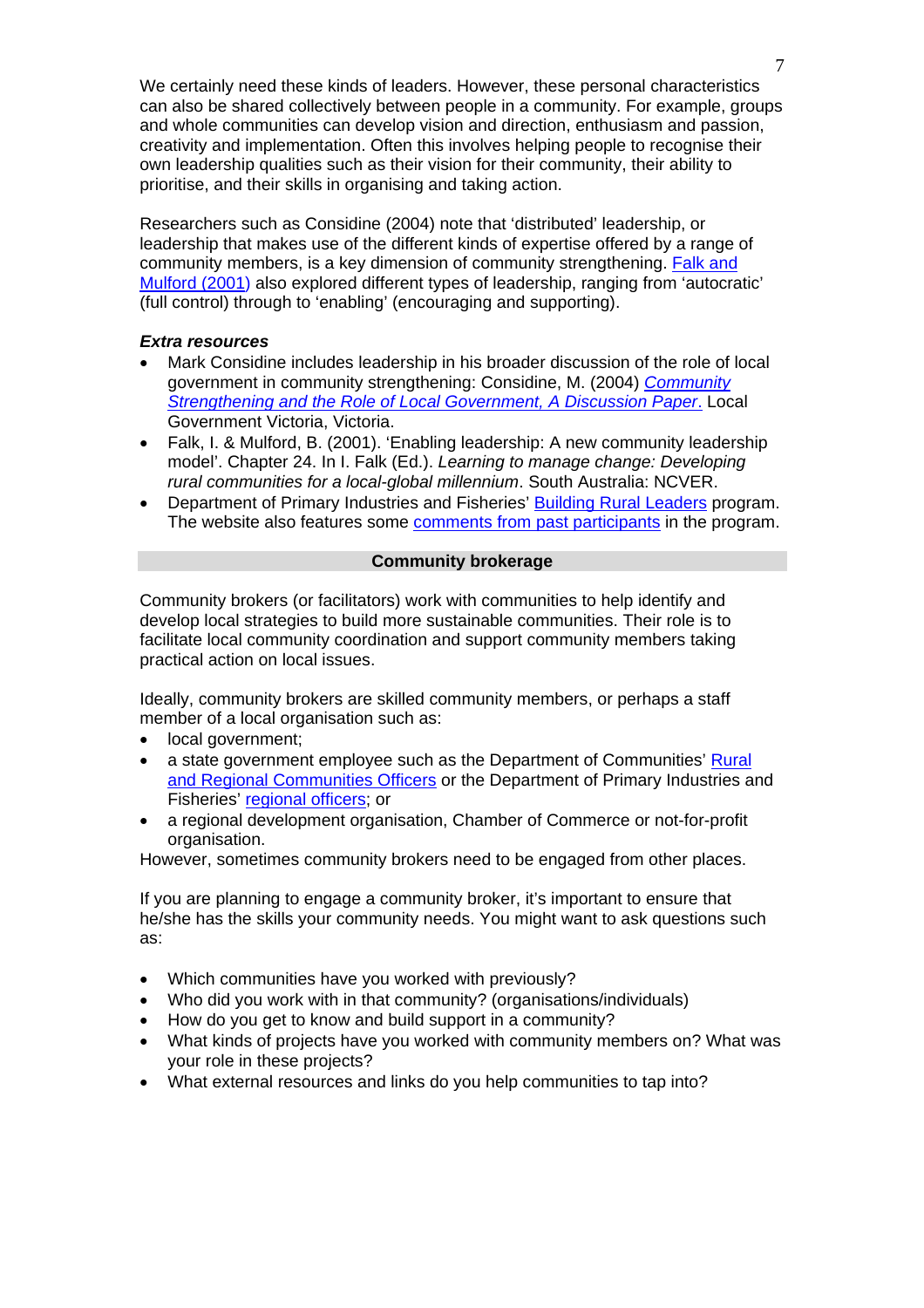<span id="page-6-0"></span>We certainly need these kinds of leaders. However, these personal characteristics can also be shared collectively between people in a community. For example, groups and whole communities can develop vision and direction, enthusiasm and passion, creativity and implementation. Often this involves helping people to recognise their own leadership qualities such as their vision for their community, their ability to prioritise, and their skills in organising and taking action.

Researchers such as Considine (2004) note that 'distributed' leadership, or leadership that makes use of the different kinds of expertise offered by a range of community members, is a key dimension of community strengthening. [Falk and](#page-6-0)  [Mulford \(2001\)](#page-6-0) also explored different types of leadership, ranging from 'autocratic' (full control) through to 'enabling' (encouraging and supporting).

# *Extra resources*

- Mark Considine includes leadership in his broader discussion of the role of local government in community strengthening: Considine, M. (2004) *[Community](http://www.communitybuilding.vic.gov.au/cms/items/2005/02/00431-upload-00001.pdf)  [Strengthening and the Role of Local Government, A Discussion Paper](http://www.communitybuilding.vic.gov.au/cms/items/2005/02/00431-upload-00001.pdf)*. Local Government Victoria, Victoria.
- Falk, I. & Mulford, B. (2001). 'Enabling leadership: A new community leadership model'. Chapter 24. In I. Falk (Ed.). *Learning to manage change: Developing rural communities for a local-global millennium*. South Australia: NCVER.
- Department of Primary Industries and Fisheries' [Building Rural Leaders](http://www2.dpi.qld.gov.au/community/11968.html#5) program. The website also features some [comments from past participants](http://www2.dpi.qld.gov.au/community/13428.html) in the program.

#### **Community brokerage**

Community brokers (or facilitators) work with communities to help identify and develop local strategies to build more sustainable communities. Their role is to facilitate local community coordination and support community members taking practical action on local issues.

Ideally, community brokers are skilled community members, or perhaps a staff member of a local organisation such as:

- local government;
- a state government employee such as the Department of Communities' Rural [and Regional Communities Officers](http://www.communities.qld.gov.au/community/contacts/regionaloffices.html) or the Department of Primary Industries and Fisheries' [regional officers;](http://www.dpi.qld.gov.au/cps/rde/xchg/dpi/hs.xsl/31_897_ENA_HTML.htm) or
- a regional development organisation, Chamber of Commerce or not-for-profit organisation.

However, sometimes community brokers need to be engaged from other places.

If you are planning to engage a community broker, it's important to ensure that he/she has the skills your community needs. You might want to ask questions such as:

- Which communities have you worked with previously?
- Who did you work with in that community? (organisations/individuals)
- How do you get to know and build support in a community?
- What kinds of projects have you worked with community members on? What was your role in these projects?
- What external resources and links do you help communities to tap into?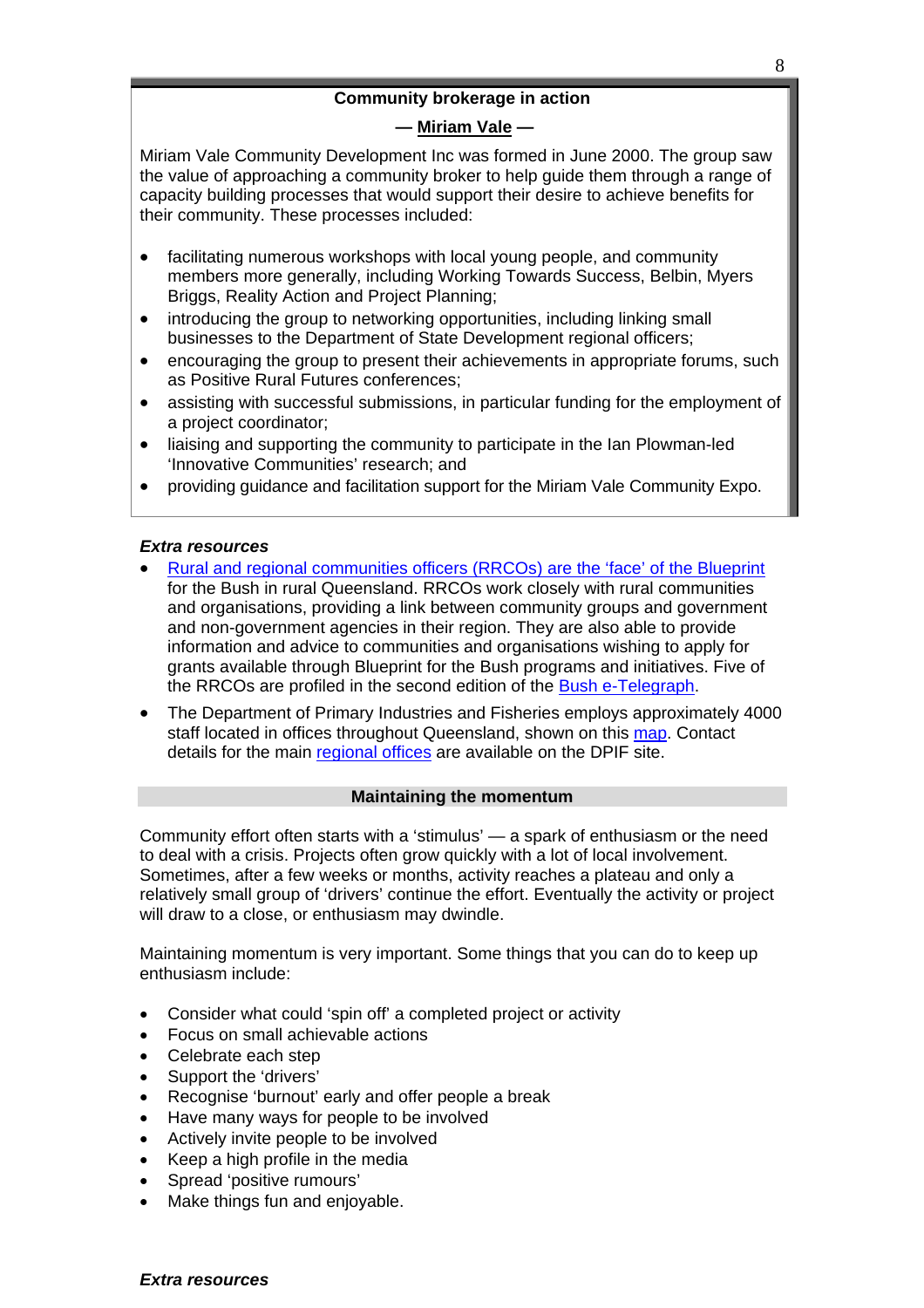# **Community brokerage in action**

# **— [Miriam Vale](http://www.miriamvale.qld.gov.au/) —**

Miriam Vale Community Development Inc was formed in June 2000. The group saw the value of approaching a community broker to help guide them through a range of capacity building processes that would support their desire to achieve benefits for their community. These processes included:

- facilitating numerous workshops with local young people, and community members more generally, including Working Towards Success, Belbin, Myers Briggs, Reality Action and Project Planning;
- introducing the group to networking opportunities, including linking small businesses to the Department of State Development regional officers;
- encouraging the group to present their achievements in appropriate forums, such as Positive Rural Futures conferences;
- assisting with successful submissions, in particular funding for the employment of a project coordinator;
- liaising and supporting the community to participate in the Ian Plowman-led 'Innovative Communities' research; and
- providing guidance and facilitation support for the Miriam Vale Community Expo.

# *Extra resources*

- [Rural and regional communities officers \(RRCOs\) are the 'face' of the Blueprint](http://www.communities.qld.gov.au/community/contacts/regionaloffices.html) for the Bush in rural Queensland. RRCOs work closely with rural communities and organisations, providing a link between community groups and government and non-government agencies in their region. They are also able to provide information and advice to communities and organisations wishing to apply for grants available through Blueprint for the Bush programs and initiatives. Five of the RRCOs are profiled in the second edition of the [Bush e-Telegraph](http://www.communities.qld.gov.au/community/regional/blueprint/e-telegraph/2007/edition2/officers.html).
- The Department of Primary Industries and Fisheries employs approximately 4000 staff located in offices throughout Queensland, shown on this [map.](http://www.dpi.qld.gov.au/cps/rde/xbcr/dpi/regions.pdf) Contact details for the main [regional offices](http://www.dpi.qld.gov.au/cps/rde/xchg/dpi/hs.xsl/31_897_ENA_HTML.htm) are available on the DPIF site.

#### **Maintaining the momentum**

Community effort often starts with a 'stimulus' — a spark of enthusiasm or the need to deal with a crisis. Projects often grow quickly with a lot of local involvement. Sometimes, after a few weeks or months, activity reaches a plateau and only a relatively small group of 'drivers' continue the effort. Eventually the activity or project will draw to a close, or enthusiasm may dwindle.

Maintaining momentum is very important. Some things that you can do to keep up enthusiasm include:

- Consider what could 'spin off' a completed project or activity
- Focus on small achievable actions
- Celebrate each step
- Support the 'drivers'
- Recognise 'burnout' early and offer people a break
- Have many ways for people to be involved
- Actively invite people to be involved
- Keep a high profile in the media
- Spread 'positive rumours'
- Make things fun and enjoyable.

# *Extra resources*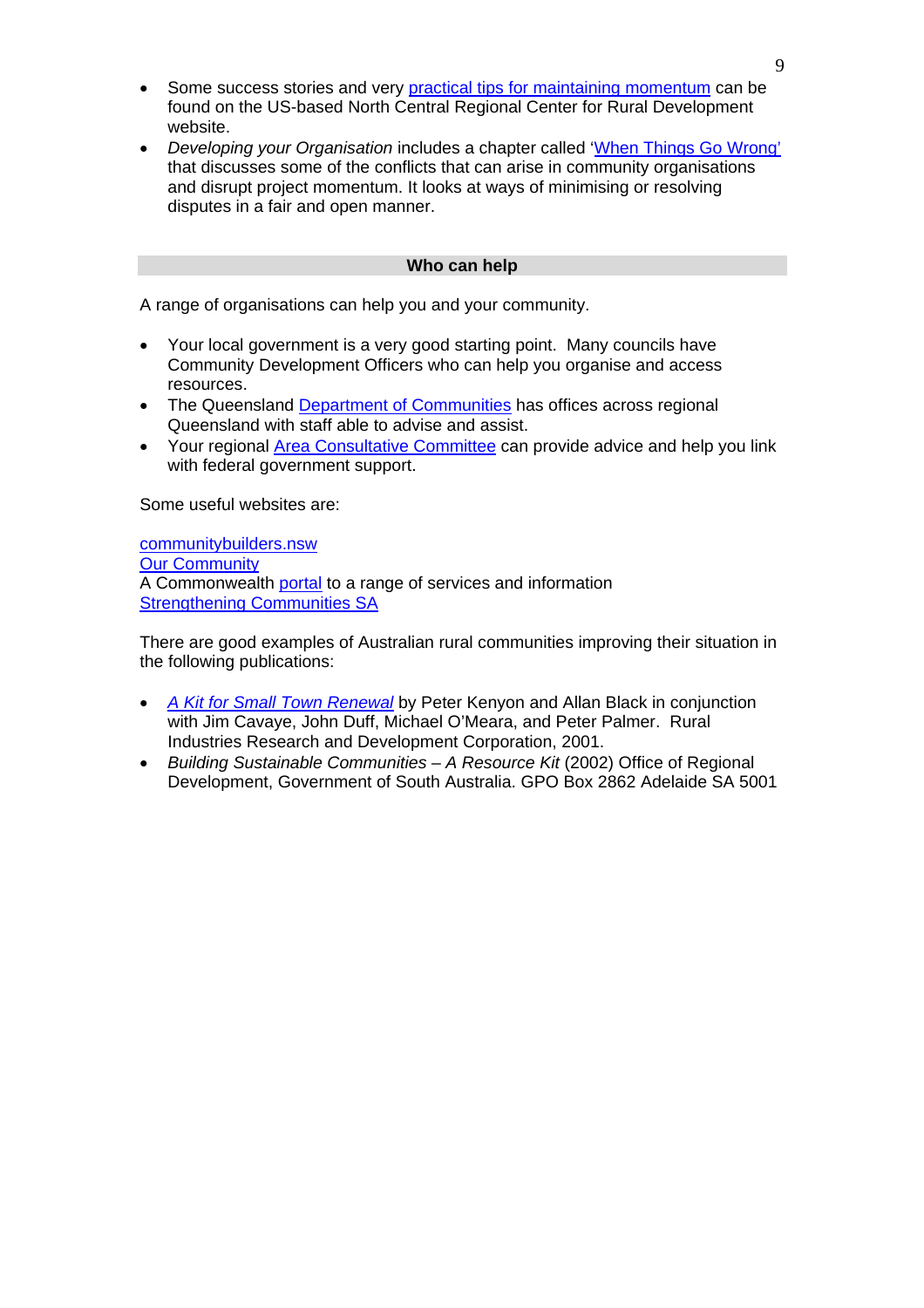- Some success stories and very [practical tips for maintaining momentum](http://www.ncrcrd.iastate.edu/takecharge/curriculum/momentum.pdf) can be found on the US-based North Central Regional Center for Rural Development website.
- *Developing your Organisation* includes a chapter called '[When Things Go Wrong'](https://olt.qut.edu.au/bus/DYO/index.cfm?fa=displayPage&rNum=2401241&pType=curr) that discusses some of the conflicts that can arise in community organisations and disrupt project momentum. It looks at ways of minimising or resolving disputes in a fair and open manner.

#### **Who can help**

A range of organisations can help you and your community.

- Your local government is a very good starting point. Many councils have Community Development Officers who can help you organise and access resources.
- The Queensland [Department of Communities](http://www.communities.qld.gov.au/) has offices across regional Queensland with staff able to advise and assist.
- Your regional [Area Consultative Committee](http://www.acc.gov.au/) can provide advice and help you link with federal government support.

Some useful websites are:

[communitybuilders.nsw](http://www.communitybuilders.nsw.gov.au/) [Our Community](http://www.ourcommunity.com.au/) A Commonwealth [portal](http://www.community.gov.au/) to a range of services and information [Strengthening Communities SA](http://www.communitynet.sa.gov.au/)

There are good examples of Australian rural communities improving their situation in the following publications:

- *[A Kit for Small Town Renewal](http://www.rirdc.gov.au/reports/HCC/01-043Manual.pdf)* by Peter Kenyon and Allan Black in conjunction with Jim Cavaye, John Duff, Michael O'Meara, and Peter Palmer. Rural Industries Research and Development Corporation, 2001.
- *Building Sustainable Communities A Resource Kit* (2002) Office of Regional Development, Government of South Australia. GPO Box 2862 Adelaide SA 5001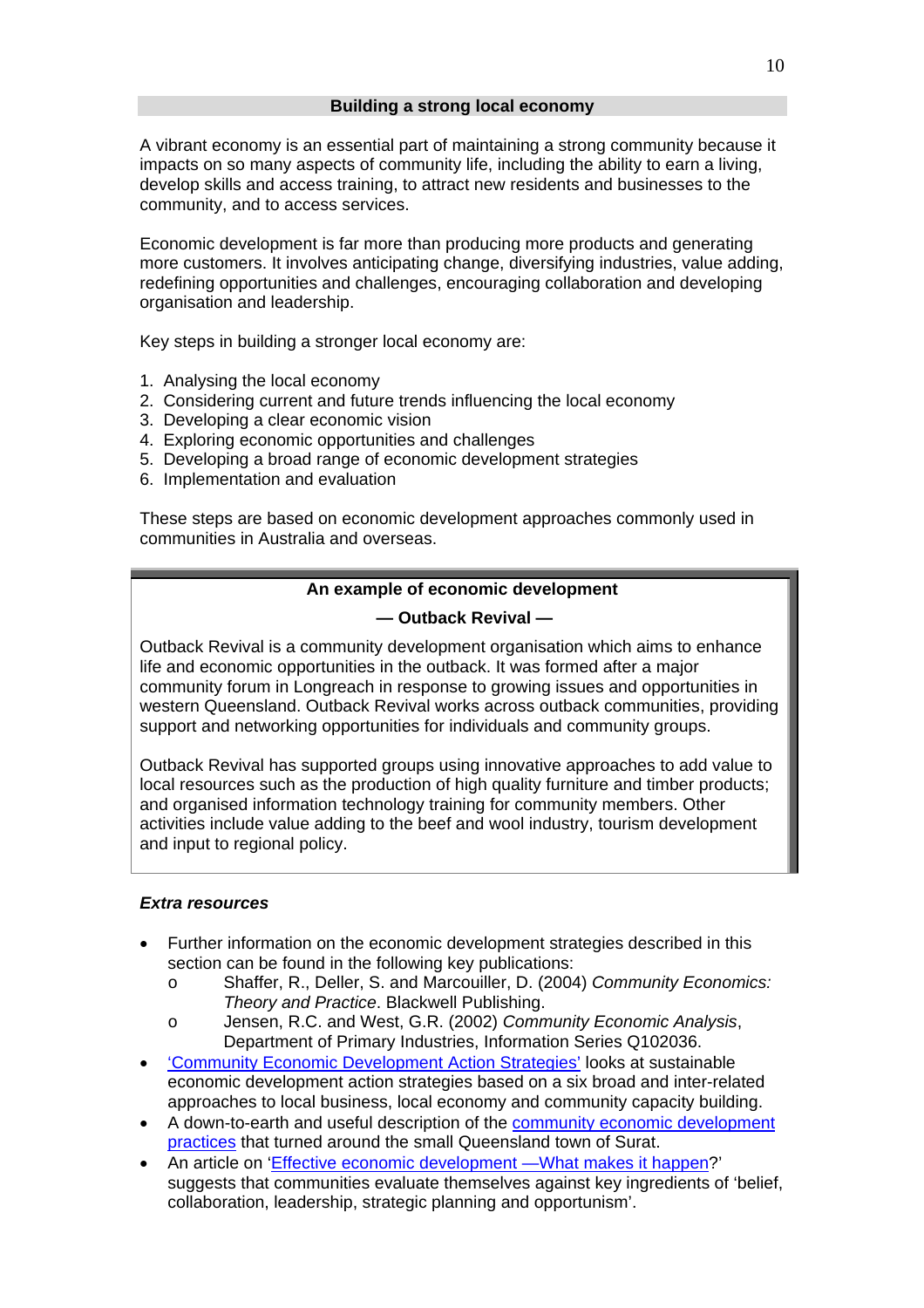A vibrant economy is an essential part of maintaining a strong community because it impacts on so many aspects of community life, including the ability to earn a living, develop skills and access training, to attract new residents and businesses to the community, and to access services.

Economic development is far more than producing more products and generating more customers. It involves anticipating change, diversifying industries, value adding, redefining opportunities and challenges, encouraging collaboration and developing organisation and leadership.

Key steps in building a stronger local economy are:

- 1. Analysing the local economy
- 2. Considering current and future trends influencing the local economy
- 3. Developing a clear economic vision
- 4. Exploring economic opportunities and challenges
- 5. Developing a broad range of economic development strategies
- 6. Implementation and evaluation

These steps are based on economic development approaches commonly used in communities in Australia and overseas.

# **An example of economic development**

# **— Outback Revival —**

Outback Revival is a community development organisation which aims to enhance life and economic opportunities in the outback. It was formed after a major community forum in Longreach in response to growing issues and opportunities in western Queensland. Outback Revival works across outback communities, providing support and networking opportunities for individuals and community groups.

Outback Revival has supported groups using innovative approaches to add value to local resources such as the production of high quality furniture and timber products; and organised information technology training for community members. Other activities include value adding to the beef and wool industry, tourism development and input to regional policy.

# *Extra resources*

- Further information on the economic development strategies described in this section can be found in the following key publications:
	- o Shaffer, R., Deller, S. and Marcouiller, D. (2004) *Community Economics: Theory and Practice*. Blackwell Publishing.
	- o Jensen, R.C. and West, G.R. (2002) *Community Economic Analysis*, Department of Primary Industries, Information Series Q102036.
- ['Community Economic Development Action Strategies'](http://www.communitybuilders.nsw.gov.au/building_stronger/enterprise/action2.html) looks at sustainable economic development action strategies based on a six broad and inter-related approaches to local business, local economy and community capacity building.
- A down-to-earth and useful description of the [community economic development](http://www.maq.org.au/publications/resources/surat04.htm)  [practices](http://www.maq.org.au/publications/resources/surat04.htm) that turned around the small Queensland town of Surat.
- An article on '[Effective economic development —What makes it happen?](http://www.communitybuilders.nsw.gov.au/building_stronger/enterprise/economic.html)' suggests that communities evaluate themselves against key ingredients of 'belief, collaboration, leadership, strategic planning and opportunism'.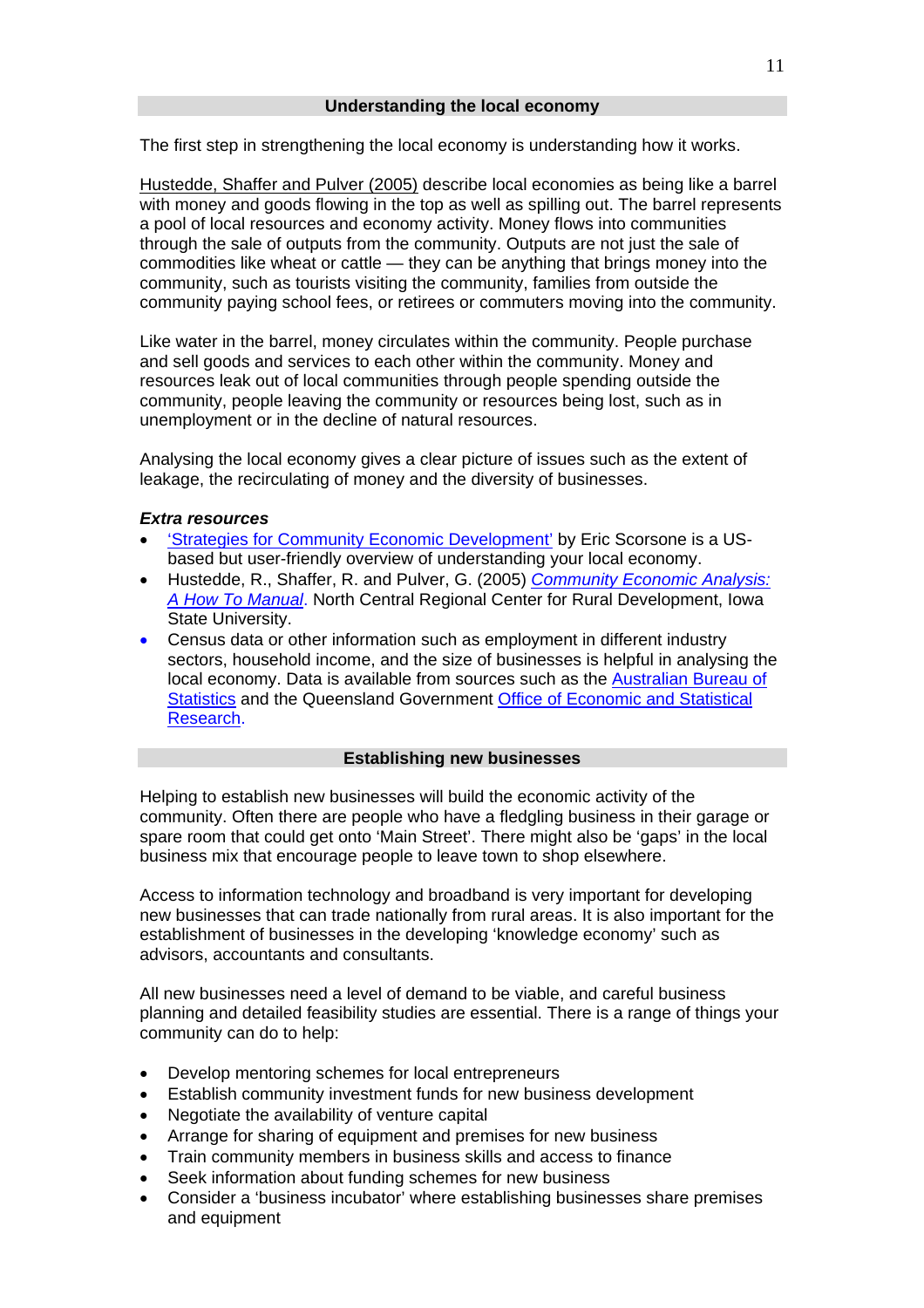<span id="page-10-0"></span>The first step in strengthening the local economy is understanding how it works.

[Hustedde, Shaffer and Pulver \(2005\)](#page-10-0) describe local economies as being like a barrel with money and goods flowing in the top as well as spilling out. The barrel represents a pool of local resources and economy activity. Money flows into communities through the sale of outputs from the community. Outputs are not just the sale of commodities like wheat or cattle — they can be anything that brings money into the community, such as tourists visiting the community, families from outside the community paying school fees, or retirees or commuters moving into the community.

Like water in the barrel, money circulates within the community. People purchase and sell goods and services to each other within the community. Money and resources leak out of local communities through people spending outside the community, people leaving the community or resources being lost, such as in unemployment or in the decline of natural resources.

Analysing the local economy gives a clear picture of issues such as the extent of leakage, the recirculating of money and the diversity of businesses.

#### *Extra resources*

- ['Strategies for Community Economic Development'](http://www.econ.iastate.edu/classes/crp274/swenson/URP290/Readings/strategies4ced.html) by Eric Scorsone is a USbased but user-friendly overview of understanding your local economy.
- Hustedde, R., Shaffer, R. and Pulver, G. (2005) *[Community Economic Analysis:](http://www.ncrcrd.iastate.edu/pubs/contents/rrd186-readonly.pdf)  [A How To Manual](http://www.ncrcrd.iastate.edu/pubs/contents/rrd186-readonly.pdf)*. North Central Regional Center for Rural Development, Iowa State University.
- Census data or other information such as employment in different industry sectors, household income, and the size of businesses is helpful in analysing the local economy. Data is available from sources such as the [Australian Bureau of](http://www.abs.gov.au/)  [Statistics](http://www.abs.gov.au/) and the Queensland Government [Office of Economic and Statistical](http://www.oesr.qld.gov.au/)  [Research](http://www.oesr.qld.gov.au/).

# **Establishing new businesses**

Helping to establish new businesses will build the economic activity of the community. Often there are people who have a fledgling business in their garage or spare room that could get onto 'Main Street'. There might also be 'gaps' in the local business mix that encourage people to leave town to shop elsewhere.

Access to information technology and broadband is very important for developing new businesses that can trade nationally from rural areas. It is also important for the establishment of businesses in the developing 'knowledge economy' such as advisors, accountants and consultants.

All new businesses need a level of demand to be viable, and careful business planning and detailed feasibility studies are essential. There is a range of things your community can do to help:

- Develop mentoring schemes for local entrepreneurs
- Establish community investment funds for new business development
- Negotiate the availability of venture capital
- Arrange for sharing of equipment and premises for new business
- Train community members in business skills and access to finance
- Seek information about funding schemes for new business
- Consider a 'business incubator' where establishing businesses share premises and equipment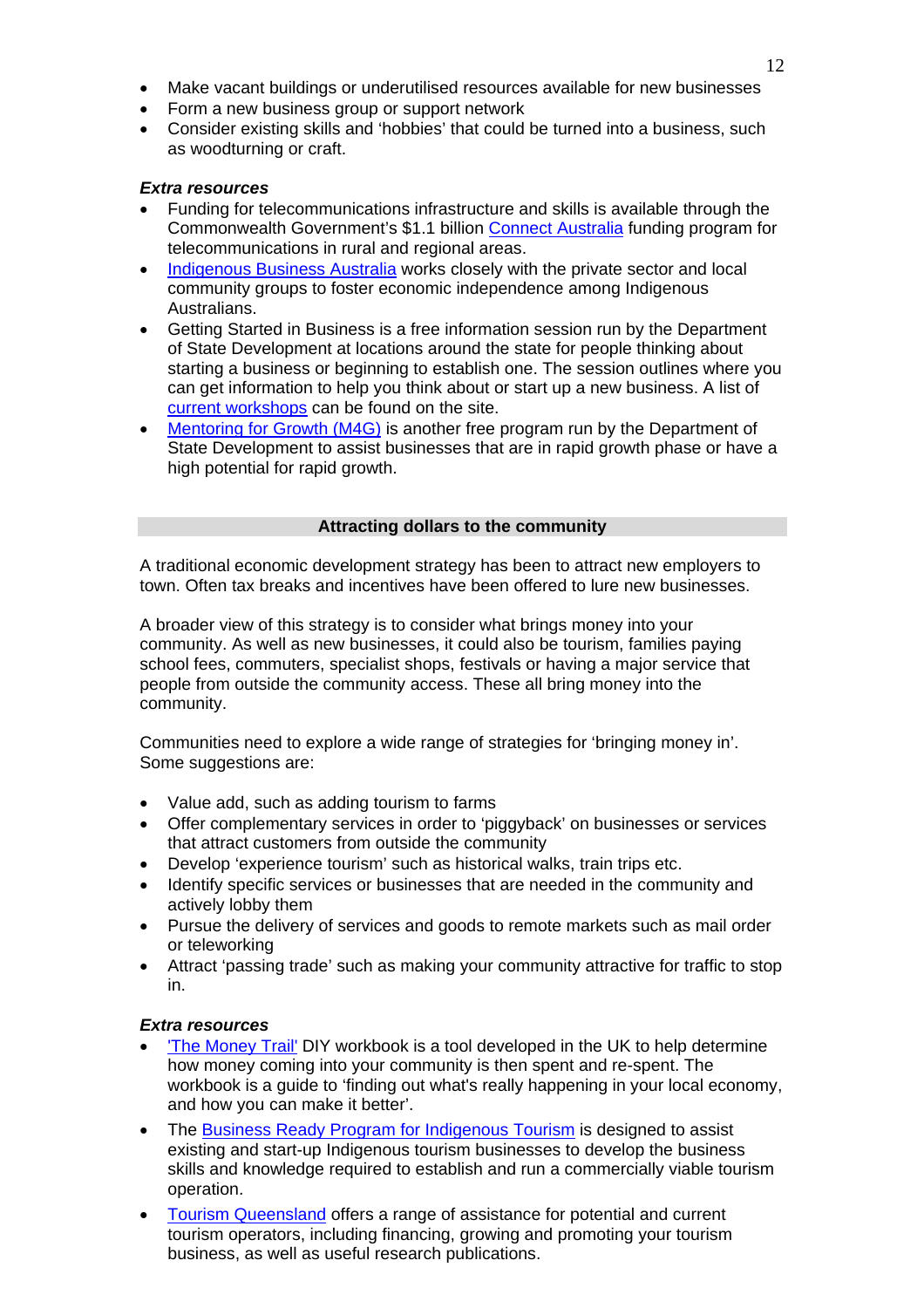- Make vacant buildings or underutilised resources available for new businesses
- Form a new business group or support network
- Consider existing skills and 'hobbies' that could be turned into a business, such as woodturning or craft.

#### *Extra resources*

- Funding for telecommunications infrastructure and skills is available through the Commonwealth Government's \$1.1 billion [Connect Australia](http://archive.dcita.gov.au/2007/11/connect_australia) funding program for telecommunications in rural and regional areas.
- [Indigenous Business Australia](http://www.iba.gov.au/) works closely with the private sector and local community groups to foster economic independence among Indigenous Australians.
- Getting Started in Business is a free information session run by the Department of State Development at locations around the state for people thinking about starting a business or beginning to establish one. The session outlines where you can get information to help you think about or start up a new business. A list of [current workshops](http://www.sd.qld.gov.au/dsdweb/v3/guis/templates/phnxschcrse/gui_cue_phnxschcrse_sessions.cfm?id=4503&course_id=AOSBGETSTARTED&search_startrow=1) can be found on the site.
- [Mentoring for Growth \(M4G\)](http://www.sd.qld.gov.au/dsdweb/v3/guis/templates/content/gui_cue_cntnhtml.cfm?id=1956) is another free program run by the Department of State Development to assist businesses that are in rapid growth phase or have a high potential for rapid growth.

# **Attracting dollars to the community**

A traditional economic development strategy has been to attract new employers to town. Often tax breaks and incentives have been offered to lure new businesses.

A broader view of this strategy is to consider what brings money into your community. As well as new businesses, it could also be tourism, families paying school fees, commuters, specialist shops, festivals or having a major service that people from outside the community access. These all bring money into the community.

Communities need to explore a wide range of strategies for 'bringing money in'. Some suggestions are:

- Value add, such as adding tourism to farms
- Offer complementary services in order to 'piggyback' on businesses or services that attract customers from outside the community
- Develop 'experience tourism' such as historical walks, train trips etc.
- Identify specific services or businesses that are needed in the community and actively lobby them
- Pursue the delivery of services and goods to remote markets such as mail order or teleworking
- Attract 'passing trade' such as making your community attractive for traffic to stop in.

# *Extra resources*

- ['The Money Trail'](http://www.neweconomics.org/gen/uploads/The%20Money%20Trail.pdf) DIY workbook is a tool developed in the UK to help determine how money coming into your community is then spent and re-spent. The workbook is a guide to 'finding out what's really happening in your local economy, and how you can make it better'.
- The [Business Ready Program for Indigenous Tourism](http://www.ausindustry.gov.au/content/content.cfm?ObjectID=72D78BA6-2C8C-400C-9EE1FEB5AD4B375D&L2Parent=AEB901E5-7CB8-4143-A3BF33B2423F9DA6&L3Parent=AAC495C7-0289-4F27-903A46D88EF303E4) is designed to assist existing and start-up Indigenous tourism businesses to develop the business skills and knowledge required to establish and run a commercially viable tourism operation.
- [Tourism Queensland](http://www.tq.com.au/resource-centre/industry-assistance) offers a range of assistance for potential and current tourism operators, including financing, growing and promoting your tourism business, as well as useful research publications.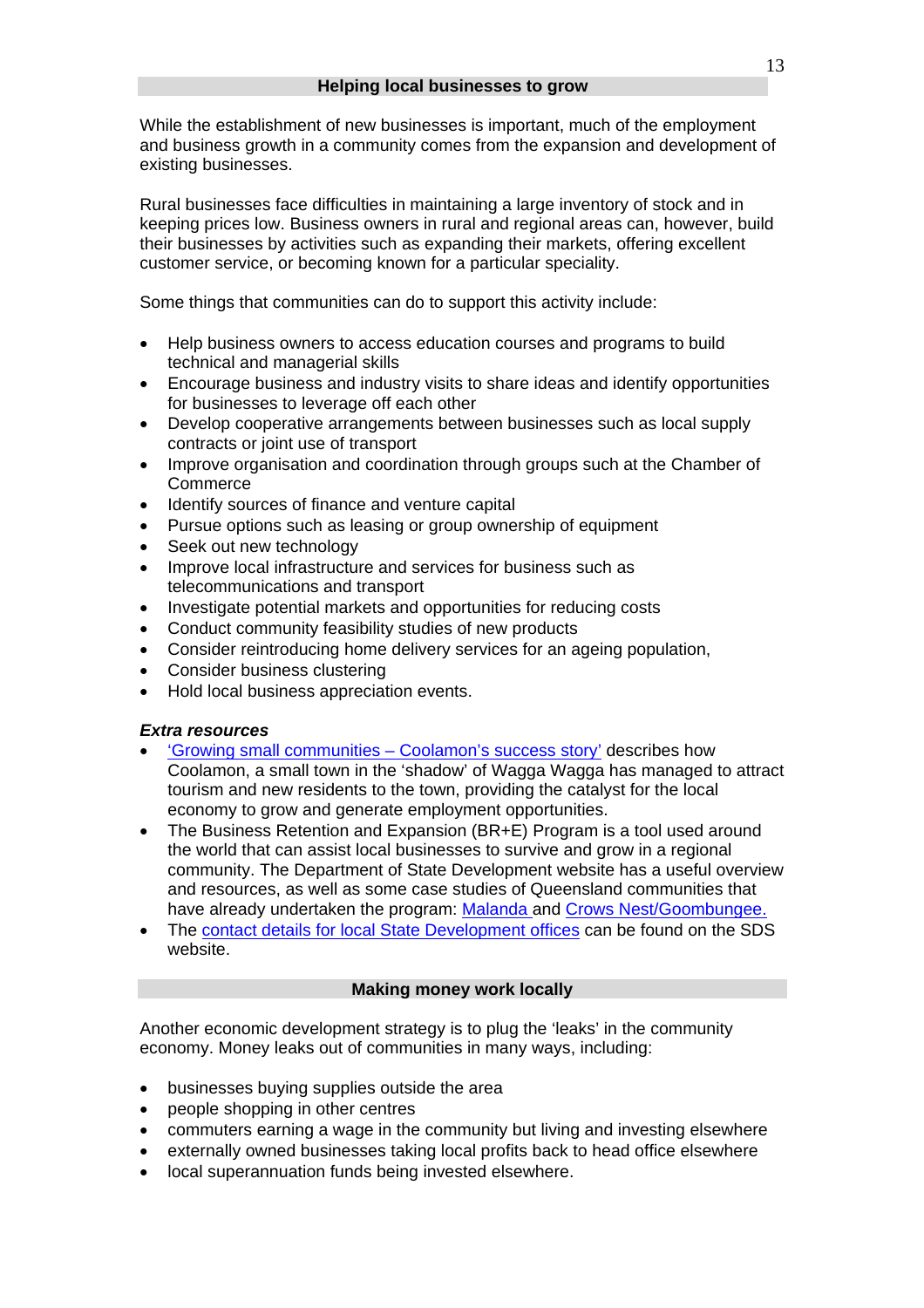While the establishment of new businesses is important, much of the employment and business growth in a community comes from the expansion and development of existing businesses.

Rural businesses face difficulties in maintaining a large inventory of stock and in keeping prices low. Business owners in rural and regional areas can, however, build their businesses by activities such as expanding their markets, offering excellent customer service, or becoming known for a particular speciality.

Some things that communities can do to support this activity include:

- Help business owners to access education courses and programs to build technical and managerial skills
- Encourage business and industry visits to share ideas and identify opportunities for businesses to leverage off each other
- Develop cooperative arrangements between businesses such as local supply contracts or joint use of transport
- Improve organisation and coordination through groups such at the Chamber of **Commerce**
- Identify sources of finance and venture capital
- Pursue options such as leasing or group ownership of equipment
- Seek out new technology
- Improve local infrastructure and services for business such as telecommunications and transport
- Investigate potential markets and opportunities for reducing costs
- Conduct community feasibility studies of new products
- Consider reintroducing home delivery services for an ageing population,
- Consider business clustering
- Hold local business appreciation events.

#### *Extra resources*

- ['Growing small communities Coolamon's success story'](http://www.communitybuilders.nsw.gov.au/building_stronger/enterprise/coolamon.html) describes how Coolamon, a small town in the 'shadow' of Wagga Wagga has managed to attract tourism and new residents to the town, providing the catalyst for the local economy to grow and generate employment opportunities.
- The Business Retention and Expansion (BR+E) Program is a tool used around the world that can assist local businesses to survive and grow in a regional community. The Department of State Development website has a useful overview and resources, as well as some case studies of Queensland communities that have already undertaken the program: [Malanda](http://www.sd.qld.gov.au/dsdweb/v3/guis/templates/content/gui_cue_cntnhtml.cfm?id=5916) and [Crows Nest/Goombungee.](http://www.sd.qld.gov.au/dsdweb/v3/guis/templates/content/gui_cue_cntnhtml.cfm?id=5924)
- The [contact details for local State Development offices](http://www.sd.qld.gov.au/dsdweb/v3/guis/templates/content/gui_cue_menu.cfm?id=22) can be found on the SDS website.

#### **Making money work locally**

Another economic development strategy is to plug the 'leaks' in the community economy. Money leaks out of communities in many ways, including:

- businesses buying supplies outside the area
- people shopping in other centres
- commuters earning a wage in the community but living and investing elsewhere
- externally owned businesses taking local profits back to head office elsewhere
- local superannuation funds being invested elsewhere.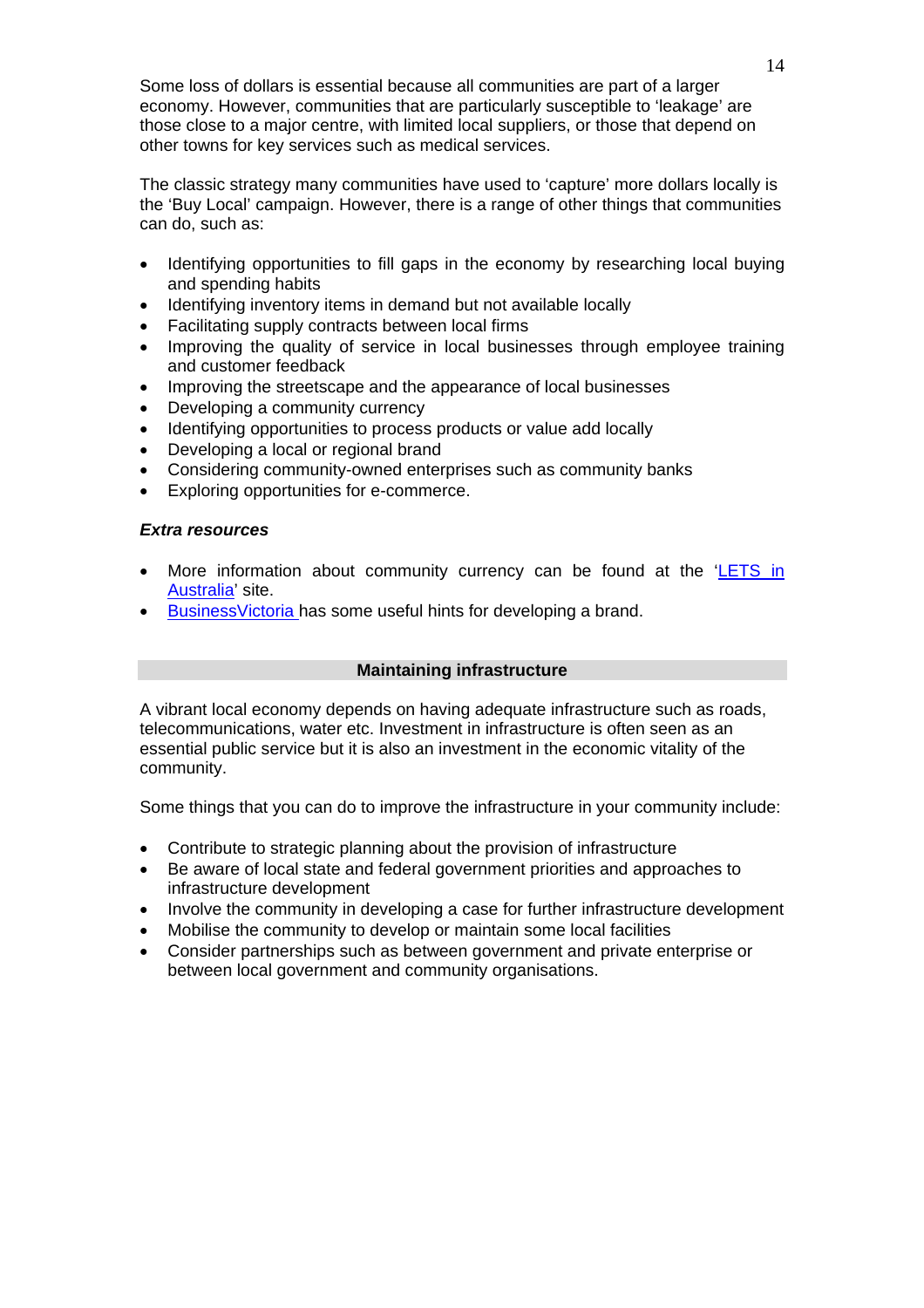Some loss of dollars is essential because all communities are part of a larger economy. However, communities that are particularly susceptible to 'leakage' are those close to a major centre, with limited local suppliers, or those that depend on other towns for key services such as medical services.

The classic strategy many communities have used to 'capture' more dollars locally is the 'Buy Local' campaign. However, there is a range of other things that communities can do, such as:

- Identifying opportunities to fill gaps in the economy by researching local buying and spending habits
- Identifying inventory items in demand but not available locally
- Facilitating supply contracts between local firms
- Improving the quality of service in local businesses through employee training and customer feedback
- Improving the streetscape and the appearance of local businesses
- Developing a community currency
- Identifying opportunities to process products or value add locally
- Developing a local or regional brand
- Considering community-owned enterprises such as community banks
- Exploring opportunities for e-commerce.

# *Extra resources*

- More information about community currency can be found at the ['LETS in](http://www.lets.org.au/)  [Australia'](http://www.lets.org.au/) site.
- Business Victoria has some useful hints for developing a brand.

# **Maintaining infrastructure**

A vibrant local economy depends on having adequate infrastructure such as roads, telecommunications, water etc. Investment in infrastructure is often seen as an essential public service but it is also an investment in the economic vitality of the community.

Some things that you can do to improve the infrastructure in your community include:

- Contribute to strategic planning about the provision of infrastructure
- Be aware of local state and federal government priorities and approaches to infrastructure development
- Involve the community in developing a case for further infrastructure development
- Mobilise the community to develop or maintain some local facilities
- Consider partnerships such as between government and private enterprise or between local government and community organisations.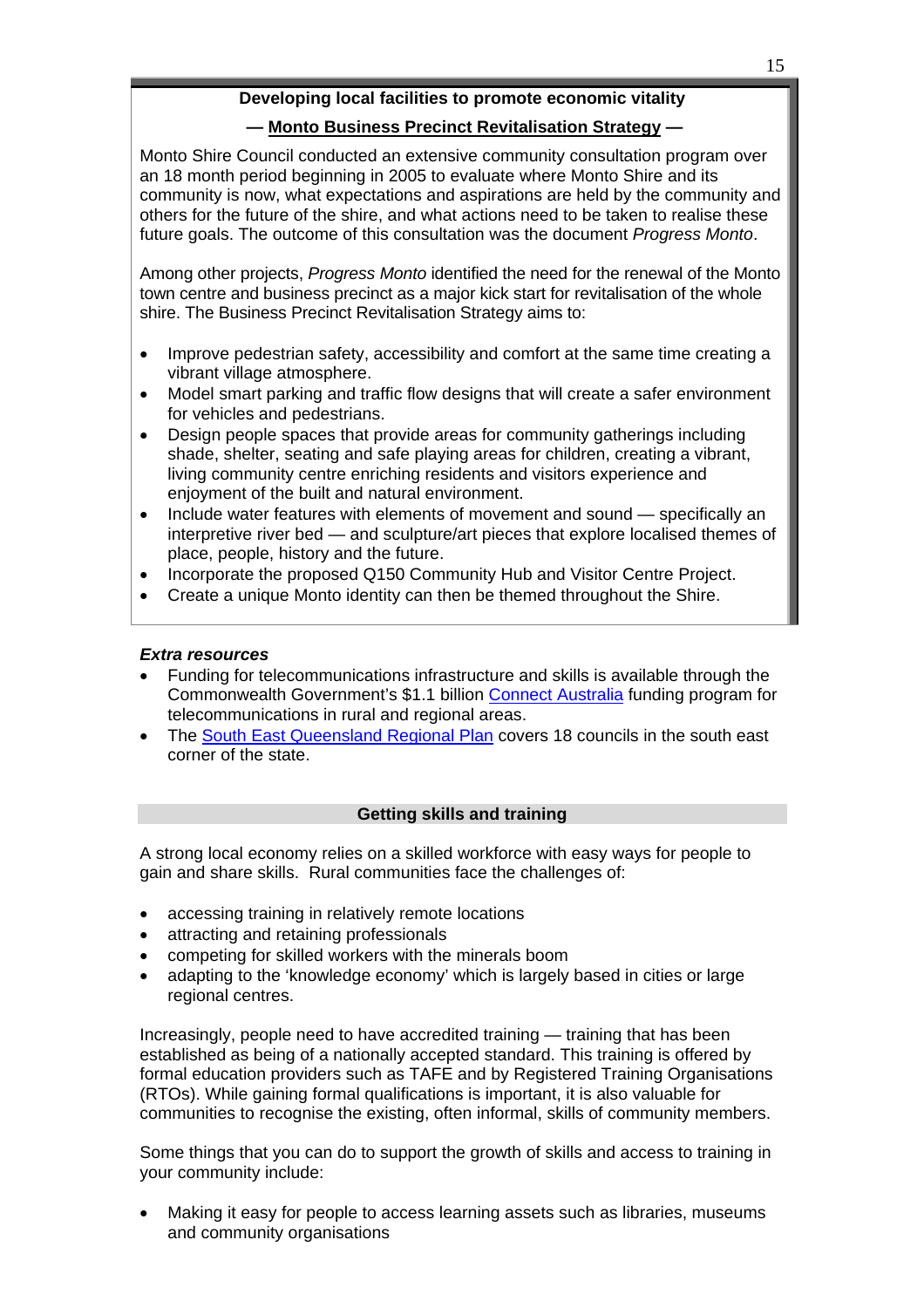# **Developing local facilities to promote economic vitality**

# **— [Monto Business Precinct Revitalisation Strategy](http://www.monto.qld.gov.au/assets/pdf/media_releases/080307_project_brief-business_precinct_revitalisaton.pdf) —**

Monto Shire Council conducted an extensive community consultation program over an 18 month period beginning in 2005 to evaluate where Monto Shire and its community is now, what expectations and aspirations are held by the community and others for the future of the shire, and what actions need to be taken to realise these future goals. The outcome of this consultation was the document *Progress Monto*.

Among other projects, *Progress Monto* identified the need for the renewal of the Monto town centre and business precinct as a major kick start for revitalisation of the whole shire. The Business Precinct Revitalisation Strategy aims to:

- Improve pedestrian safety, accessibility and comfort at the same time creating a vibrant village atmosphere.
- Model smart parking and traffic flow designs that will create a safer environment for vehicles and pedestrians.
- Design people spaces that provide areas for community gatherings including shade, shelter, seating and safe playing areas for children, creating a vibrant, living community centre enriching residents and visitors experience and enjoyment of the built and natural environment.
- Include water features with elements of movement and sound specifically an interpretive river bed — and sculpture/art pieces that explore localised themes of place, people, history and the future.
- Incorporate the proposed Q150 Community Hub and Visitor Centre Project.
- Create a unique Monto identity can then be themed throughout the Shire.

# *Extra resources*

- Funding for telecommunications infrastructure and skills is available through the Commonwealth Government's \$1.1 billion [Connect Australia](http://archive.dcita.gov.au/2007/11/connect_australia) funding program for telecommunications in rural and regional areas.
- The [South East Queensland Regional Plan](http://www.oum.qld.gov.au/?id=29) covers 18 councils in the south east corner of the state.

# **Getting skills and training**

A strong local economy relies on a skilled workforce with easy ways for people to gain and share skills. Rural communities face the challenges of:

- accessing training in relatively remote locations
- attracting and retaining professionals
- competing for skilled workers with the minerals boom
- adapting to the 'knowledge economy' which is largely based in cities or large regional centres.

Increasingly, people need to have accredited training — training that has been established as being of a nationally accepted standard. This training is offered by formal education providers such as TAFE and by Registered Training Organisations (RTOs). While gaining formal qualifications is important, it is also valuable for communities to recognise the existing, often informal, skills of community members.

Some things that you can do to support the growth of skills and access to training in your community include:

• Making it easy for people to access learning assets such as libraries, museums and community organisations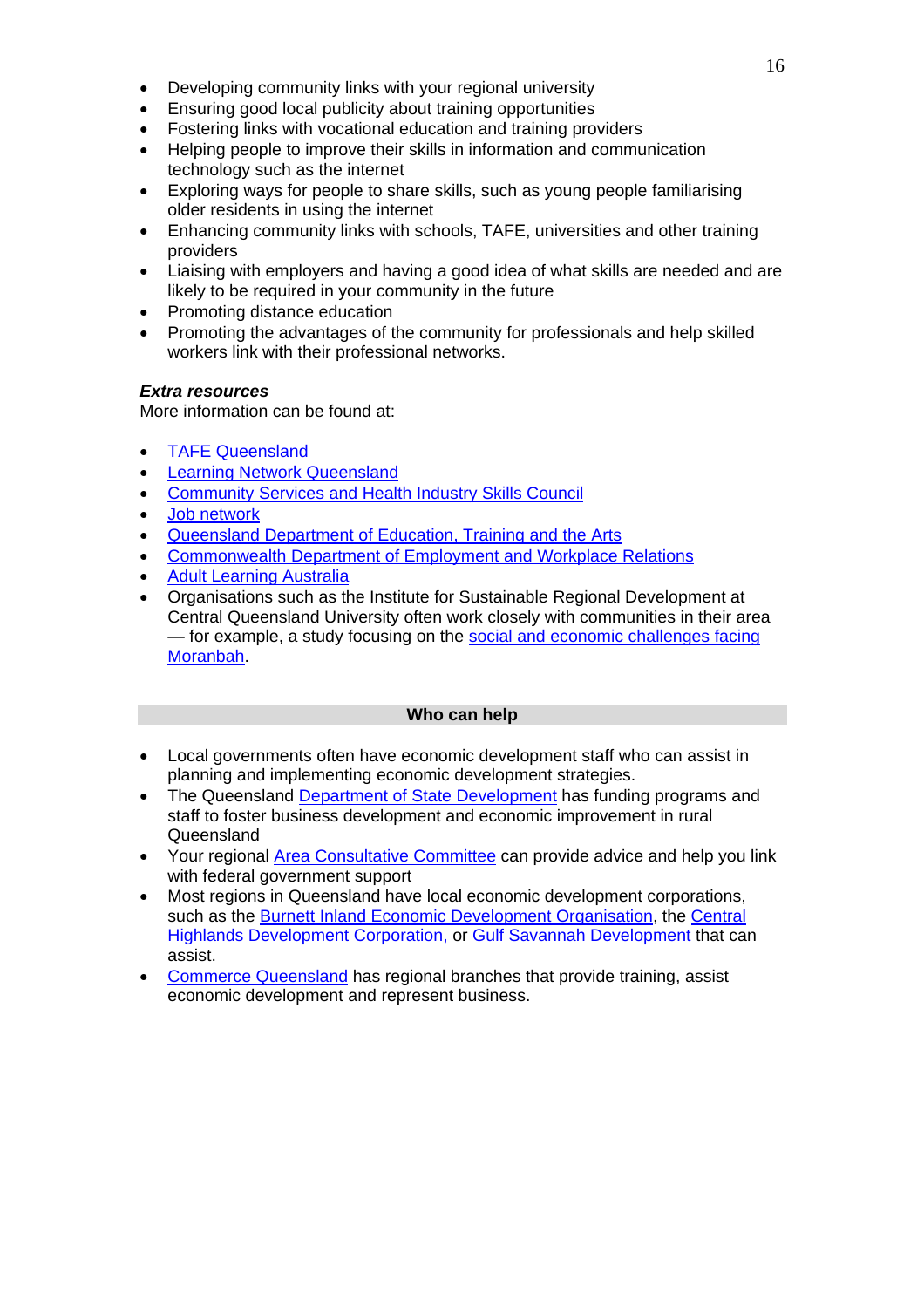- Developing community links with your regional university
- Ensuring good local publicity about training opportunities
- Fostering links with vocational education and training providers
- Helping people to improve their skills in information and communication technology such as the internet
- Exploring ways for people to share skills, such as young people familiarising older residents in using the internet
- Enhancing community links with schools, TAFE, universities and other training providers
- Liaising with employers and having a good idea of what skills are needed and are likely to be required in your community in the future
- Promoting distance education
- Promoting the advantages of the community for professionals and help skilled workers link with their professional networks.

# *Extra resources*

More information can be found at:

- [TAFE Queensland](http://www.tafe.qld.gov.au/)
- [Learning Network Queensland](http://www.lnq.net.au/)
- [Community Services and Health Industry Skills Council](http://www.cshisc.com.au/)
- [Job network](http://www.jobnetwork.gov.au/)
- [Queensland Department of Education, Training and the Arts](http://www.trainandemploy.qld.gov.au/)
- [Commonwealth Department of Employment and Workplace Relations](http://www.dewr.gov.au/)
- [Adult Learning Australia](http://www.ala.asn.au/)
- Organisations such as the Institute for Sustainable Regional Development at Central Queensland University often work closely with communities in their area — for example, a study focusing on the [social and economic challenges facing](http://uninews.cqu.edu.au/viewStory.do?story=3655)  [Moranbah](http://uninews.cqu.edu.au/viewStory.do?story=3655).

# **Who can help**

- Local governments often have economic development staff who can assist in planning and implementing economic development strategies.
- The Queensland [Department of State Development](http://www.sd.qld.gov.au/dsdweb/v3/guis/templates/content/gui_cue_menu.cfm?id=13) has funding programs and staff to foster business development and economic improvement in rural Queensland
- Your regional [Area Consultative Committee](http://www.acc.gov.au/) can provide advice and help you link with federal government support
- Most regions in Queensland have local economic development corporations, such as the [Burnett Inland Economic Development Organisation,](http://new.biedo.org.au/) the [Central](http://www.chdc.com.au/)  [Highlands Development Corporation](http://www.chdc.com.au/), or [Gulf Savannah Development](http://www.gulf-savannah.com.au/) that can assist.
- [Commerce Queensland](http://www.commerceqld.com.au/) has regional branches that provide training, assist economic development and represent business.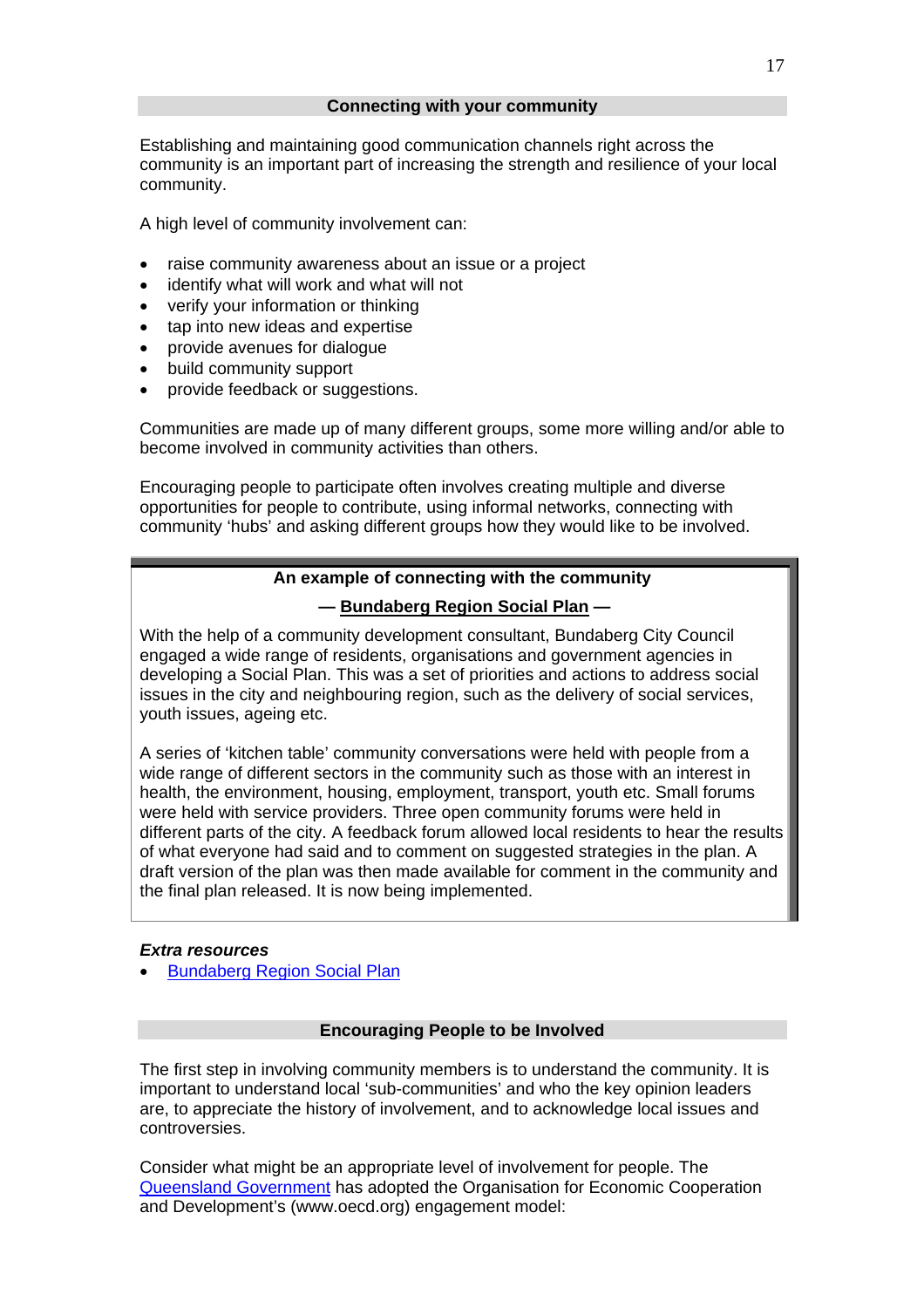<span id="page-16-0"></span>Establishing and maintaining good communication channels right across the community is an important part of increasing the strength and resilience of your local community.

A high level of community involvement can:

- raise community awareness about an issue or a project
- identify what will work and what will not
- verify your information or thinking
- tap into new ideas and expertise
- provide avenues for dialogue
- build community support
- provide feedback or suggestions.

Communities are made up of many different groups, some more willing and/or able to become involved in community activities than others.

Encouraging people to participate often involves creating multiple and diverse opportunities for people to contribute, using informal networks, connecting with community 'hubs' and asking different groups how they would like to be involved.

# **An example of connecting with the community**

# **— [Bundaberg Region Social Plan](#page-16-0) —**

With the help of a community development consultant, Bundaberg City Council engaged a wide range of residents, organisations and government agencies in developing a Social Plan. This was a set of priorities and actions to address social issues in the city and neighbouring region, such as the delivery of social services, youth issues, ageing etc.

A series of 'kitchen table' community conversations were held with people from a wide range of different sectors in the community such as those with an interest in health, the environment, housing, employment, transport, youth etc. Small forums were held with service providers. Three open community forums were held in different parts of the city. A feedback forum allowed local residents to hear the results of what everyone had said and to comment on suggested strategies in the plan. A draft version of the plan was then made available for comment in the community and the final plan released. It is now being implemented.

# *Extra resources*

• [Bundaberg Region Social Plan](http://bundaberg.qld.gov.au/communityservices/social_plan.php) 

# **Encouraging People to be Involved**

The first step in involving community members is to understand the community. It is important to understand local 'sub-communities' and who the key opinion leaders are, to appreciate the history of involvement, and to acknowledge local issues and controversies.

Consider what might be an appropriate level of involvement for people. The [Queensland Government](http://www.getinvolved.qld.gov.au/share_your_knowledge/resources/documents/pdf/Intro_CE.pdf) has adopted the Organisation for Economic Cooperation and Development's (www.oecd.org) engagement model: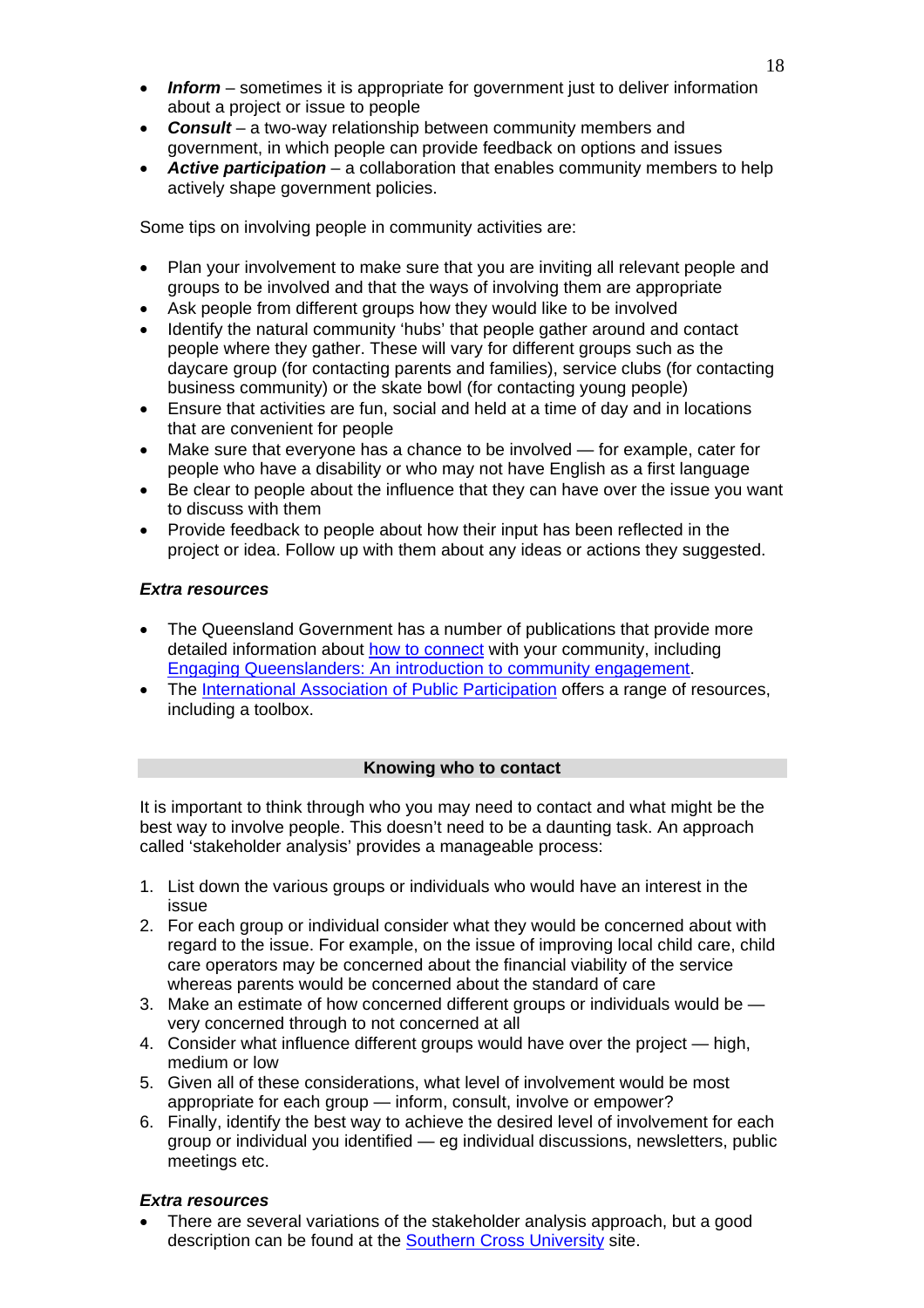- *Inform* sometimes it is appropriate for government just to deliver information about a project or issue to people
- *Consult* a two-way relationship between community members and government, in which people can provide feedback on options and issues
- *Active participation* a collaboration that enables community members to help actively shape government policies.

Some tips on involving people in community activities are:

- Plan your involvement to make sure that you are inviting all relevant people and groups to be involved and that the ways of involving them are appropriate
- Ask people from different groups how they would like to be involved
- Identify the natural community 'hubs' that people gather around and contact people where they gather. These will vary for different groups such as the daycare group (for contacting parents and families), service clubs (for contacting business community) or the skate bowl (for contacting young people)
- Ensure that activities are fun, social and held at a time of day and in locations that are convenient for people
- Make sure that everyone has a chance to be involved for example, cater for people who have a disability or who may not have English as a first language
- Be clear to people about the influence that they can have over the issue you want to discuss with them
- Provide feedback to people about how their input has been reflected in the project or idea. Follow up with them about any ideas or actions they suggested.

# *Extra resources*

- The Queensland Government has a number of publications that provide more detailed information about [how to connect](http://www.getinvolved.qld.gov.au/share_your_knowledge/resources/guides_publications.html) with your community, including [Engaging Queenslanders: An introduction to community engagement](http://www.getinvolved.qld.gov.au/share_your_knowledge/resources/documents/pdf/Intro_CE.pdf).
- The [International Association of Public Participation](http://www.iap2.org.au/resources) offers a range of resources, including a toolbox.

# **Knowing who to contact**

It is important to think through who you may need to contact and what might be the best way to involve people. This doesn't need to be a daunting task. An approach called 'stakeholder analysis' provides a manageable process:

- 1. List down the various groups or individuals who would have an interest in the issue
- 2. For each group or individual consider what they would be concerned about with regard to the issue. For example, on the issue of improving local child care, child care operators may be concerned about the financial viability of the service whereas parents would be concerned about the standard of care
- 3. Make an estimate of how concerned different groups or individuals would be very concerned through to not concerned at all
- 4. Consider what influence different groups would have over the project high, medium or low
- 5. Given all of these considerations, what level of involvement would be most appropriate for each group — inform, consult, involve or empower?
- 6. Finally, identify the best way to achieve the desired level of involvement for each group or individual you identified — eg individual discussions, newsletters, public meetings etc.

# *Extra resources*

• There are several variations of the stakeholder analysis approach, but a good description can be found at the [Southern Cross University](http://www.scu.edu.au/schools/gcm/ar/arp/stake.html) site.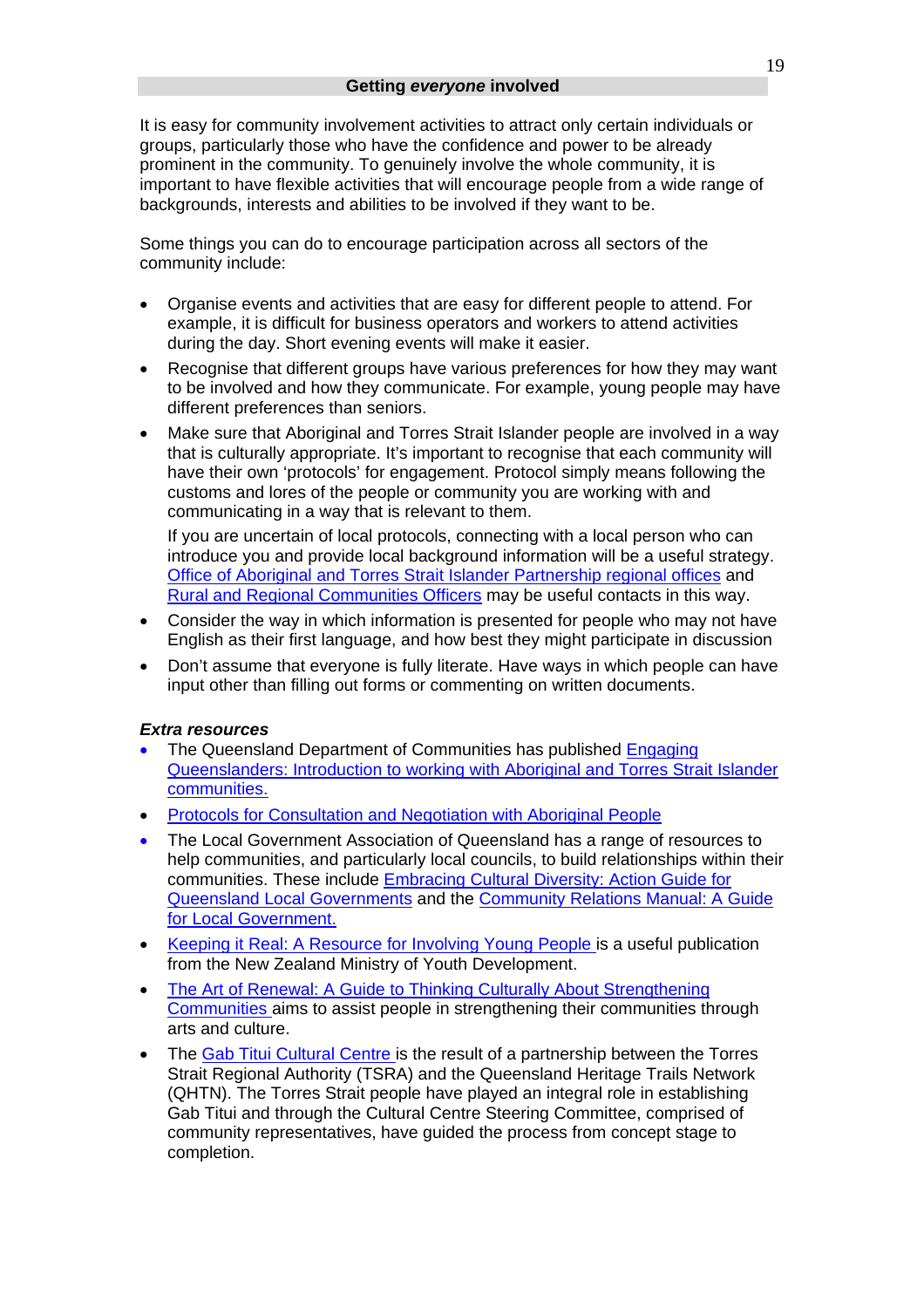It is easy for community involvement activities to attract only certain individuals or groups, particularly those who have the confidence and power to be already prominent in the community. To genuinely involve the whole community, it is important to have flexible activities that will encourage people from a wide range of backgrounds, interests and abilities to be involved if they want to be.

Some things you can do to encourage participation across all sectors of the community include:

- Organise events and activities that are easy for different people to attend. For example, it is difficult for business operators and workers to attend activities during the day. Short evening events will make it easier.
- Recognise that different groups have various preferences for how they may want to be involved and how they communicate. For example, young people may have different preferences than seniors.
- Make sure that Aboriginal and Torres Strait Islander people are involved in a way that is culturally appropriate. It's important to recognise that each community will have their own 'protocols' for engagement. Protocol simply means following the customs and lores of the people or community you are working with and communicating in a way that is relevant to them.

If you are uncertain of local protocols, connecting with a local person who can introduce you and provide local background information will be a useful strategy. [Office of Aboriginal and Torres Strait Islander Partnership regional offices](http://www.datsip.qld.gov.au/about/regions.cfm) and [Rural and Regional Communities Officers](http://www.communities.qld.gov.au/community/contacts/regionaloffices.html) may be useful contacts in this way.

- Consider the way in which information is presented for people who may not have English as their first language, and how best they might participate in discussion
- Don't assume that everyone is fully literate. Have ways in which people can have input other than filling out forms or commenting on written documents.

# *Extra resources*

- The Queensland Department of Communities has published [Engaging](http://www.getinvolved.qld.gov.au/share_your_knowledge/resources/documents/pdf/engaging-queenslanders-atsi-communities.pdf)  [Queenslanders: Introduction to working with Aboriginal and Torres Strait Islander](http://www.getinvolved.qld.gov.au/share_your_knowledge/resources/documents/pdf/engaging-queenslanders-atsi-communities.pdf)  [communities.](http://www.getinvolved.qld.gov.au/share_your_knowledge/resources/documents/pdf/engaging-queenslanders-atsi-communities.pdf)
- [Protocols for Consultation and Negotiation with Aboriginal People](http://www.datsip.qld.gov.au/resources/cultures.cfm)
- The Local Government Association of Queensland has a range of resources to help communities, and particularly local councils, to build relationships within their communities. These include [Embracing Cultural Diversity: Action Guide for](http://www.lgaq.asn.au/lgaq/publications/pages/EmbracingCulturalDiversity.html)  [Queensland Local Governments](http://www.lgaq.asn.au/lgaq/publications/pages/EmbracingCulturalDiversity.html) and the [Community Relations Manual: A Guide](http://www.premiers.qld.gov.au/library/office/Community_Relations_Manual.doc)  [for Local Government.](http://www.premiers.qld.gov.au/library/office/Community_Relations_Manual.doc)
- [Keeping it Real: A Resource for Involving Young People](http://www.lgaq.asn.au/lgaq/resources/community/youth/Resources%20Page/NZMinistryOfYouthAffairs_KeepinItReal_March2003.pdf) is a useful publication from the New Zealand Ministry of Youth Development.
- The Art of Renewal: A Guide to Thinking Culturally About Strengthening [Communities](http://www.communityrenewal.qld.gov.au/resources/publications/art.shtm) aims to assist people in strengthening their communities through arts and culture.
- The [Gab Titui Cultural Centre i](http://www.indigenoustourism.australia.com/business.asp?sub=0616)s the result of a partnership between the Torres Strait Regional Authority (TSRA) and the Queensland Heritage Trails Network (QHTN). The Torres Strait people have played an integral role in establishing Gab Titui and through the Cultural Centre Steering Committee, comprised of community representatives, have guided the process from concept stage to completion.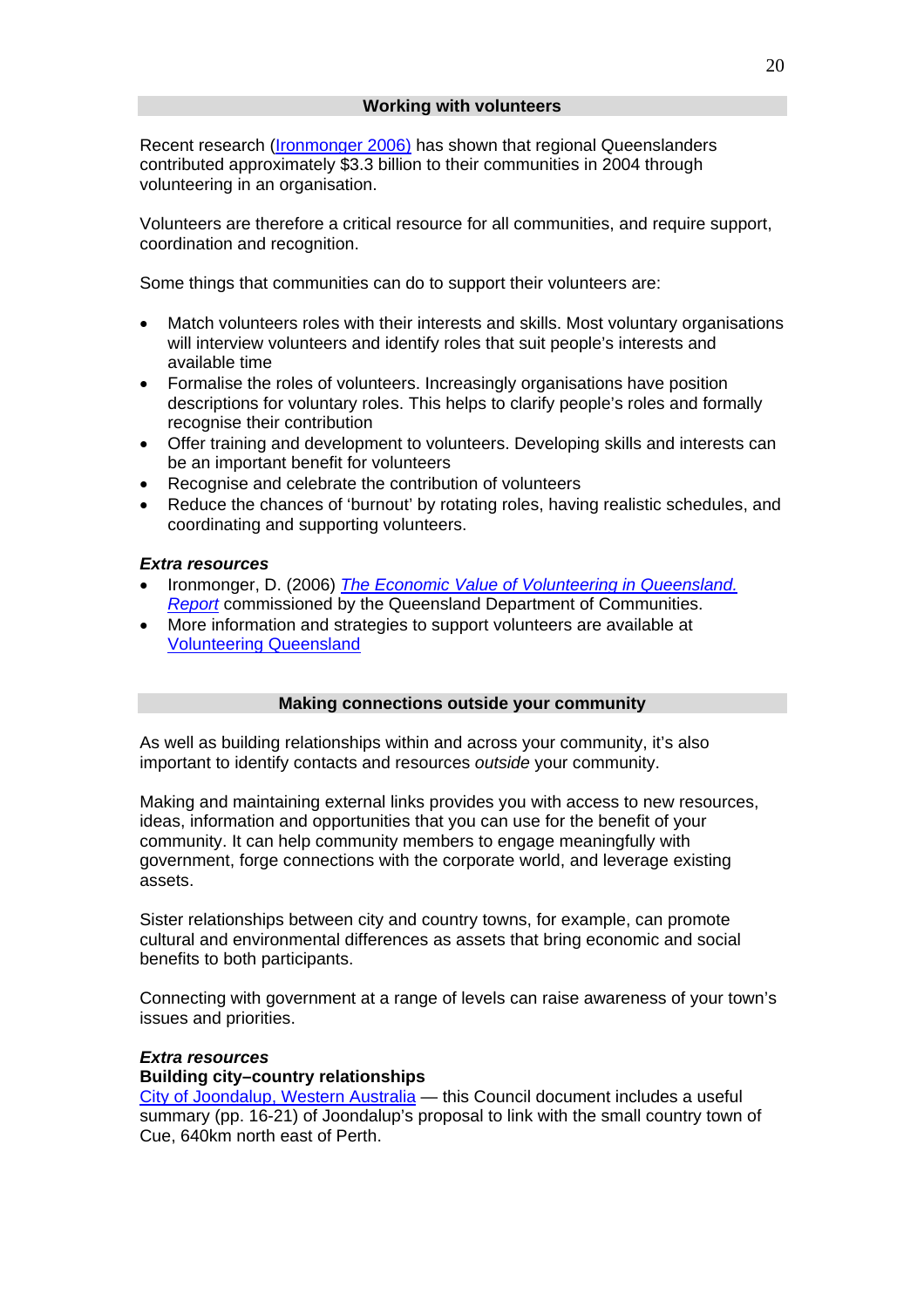<span id="page-19-0"></span>Recent research [\(Ironmonger 2006](#page-19-0)) has shown that regional Queenslanders contributed approximately \$3.3 billion to their communities in 2004 through volunteering in an organisation.

Volunteers are therefore a critical resource for all communities, and require support, coordination and recognition.

Some things that communities can do to support their volunteers are:

- Match volunteers roles with their interests and skills. Most voluntary organisations will interview volunteers and identify roles that suit people's interests and available time
- Formalise the roles of volunteers. Increasingly organisations have position descriptions for voluntary roles. This helps to clarify people's roles and formally recognise their contribution
- Offer training and development to volunteers. Developing skills and interests can be an important benefit for volunteers
- Recognise and celebrate the contribution of volunteers
- Reduce the chances of 'burnout' by rotating roles, having realistic schedules, and coordinating and supporting volunteers.

#### *Extra resources*

- Ironmonger, D. (2006) *[The Economic Value of Volunteering in Queensland.](http://www.communities.qld.gov.au/community/volunteering/documents/economic-value-of-volunteering.pdf)  [Report](http://www.communities.qld.gov.au/community/volunteering/documents/economic-value-of-volunteering.pdf)* commissioned by the Queensland Department of Communities.
- More information and strategies to support volunteers are available at [Volunteering Queensland](http://www.volqld.org.au/)

#### **Making connections outside your community**

As well as building relationships within and across your community, it's also important to identify contacts and resources *outside* your community.

Making and maintaining external links provides you with access to new resources, ideas, information and opportunities that you can use for the benefit of your community. It can help community members to engage meaningfully with government, forge connections with the corporate world, and leverage existing assets.

Sister relationships between city and country towns, for example, can promote cultural and environmental differences as assets that bring economic and social benefits to both participants.

Connecting with government at a range of levels can raise awareness of your town's issues and priorities.

#### *Extra resources*

# **Building city–country relationships**

[City of Joondalup, Western Australia](http://www.joondalup.wa.gov.au/BUcouncilsupport/agenmin/Briefing/2002/CJ021008_BRF.pdf) — this Council document includes a useful summary (pp. 16-21) of Joondalup's proposal to link with the small country town of Cue, 640km north east of Perth.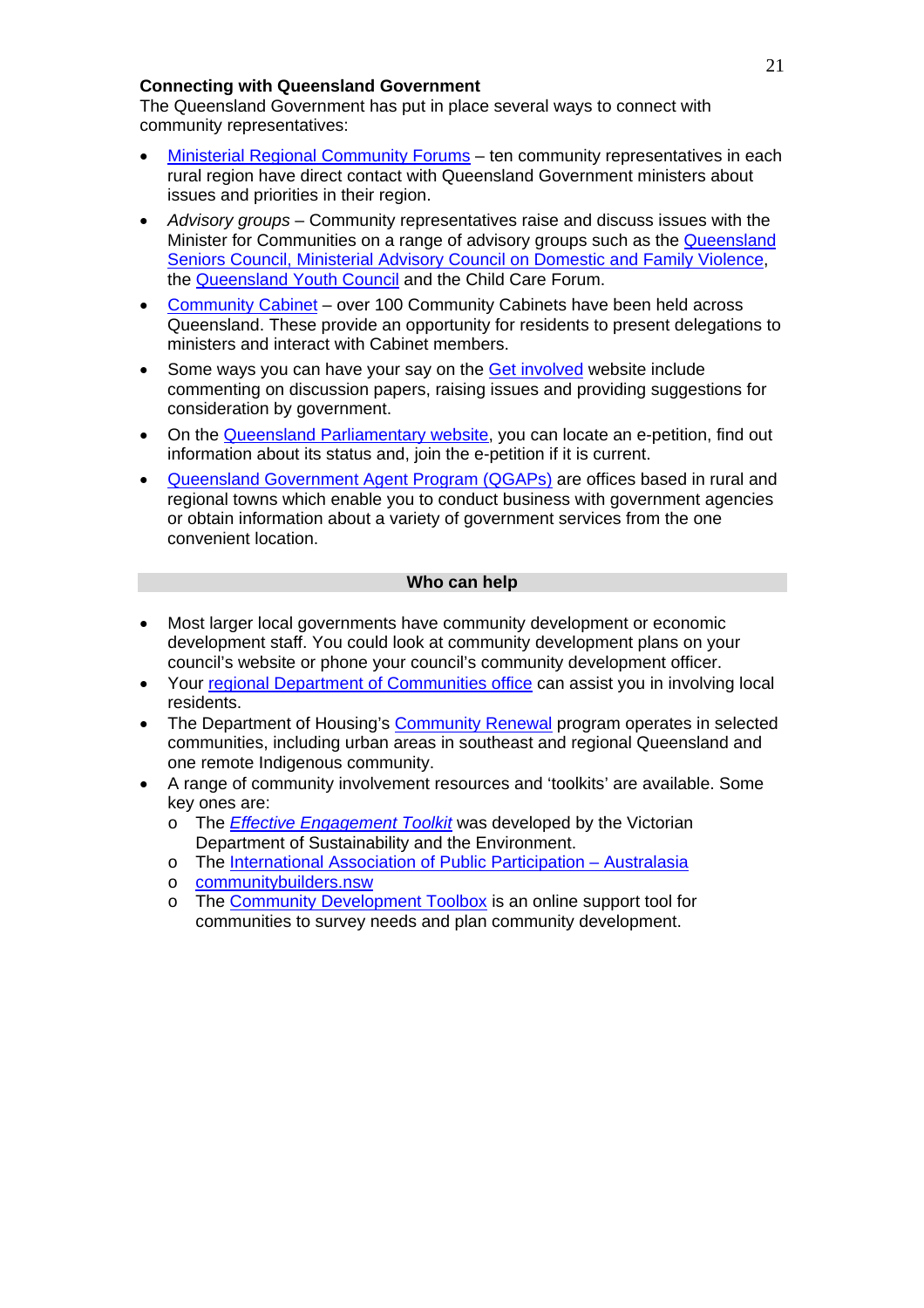# **Connecting with Queensland Government**

The Queensland Government has put in place several ways to connect with community representatives:

- [Ministerial Regional Community Forums](http://www.getinvolved.qld.gov.au/get_involved/government/minforum.html) ten community representatives in each rural region have direct contact with Queensland Government ministers about issues and priorities in their region.
- *Advisory groups* Community representatives raise and discuss issues with the Minister for Communities on a range of advisory groups such as the [Queensland](http://www.communities.qld.gov.au/seniors/qldseniors_council/)  [Seniors Council,](http://www.communities.qld.gov.au/seniors/qldseniors_council/) [Ministerial Advisory Council on Domestic and Family Violence,](http://www.communities.qld.gov.au/violenceprevention/resources/dfv_min_advis_council.html) the [Queensland Youth Council](http://www.generate.qld.gov.au/engaging_government/qld_youth_council/index.html) and the Child Care Forum.
- [Community Cabinet](http://www.getinvolved.qld.gov.au/get_involved/government/cabinetmeeting.html)  over 100 Community Cabinets have been held across Queensland. These provide an opportunity for residents to present delegations to ministers and interact with Cabinet members.
- Some ways you can have your say on the [Get involved](http://www.getinvolved.qld.gov.au/) website include commenting on discussion papers, raising issues and providing suggestions for consideration by government.
- On the [Queensland Parliamentary website,](http://www.parliament.qld.gov.au/view/EPetitions%5FQLD/Default.aspx?LIndex=0) you can locate an e-petition, find out information about its status and, join the e-petition if it is current.
- [Queensland Government Agent Program \(QGAPs\)](http://www.qld.gov.au/services_for_queenslanders/health_and_communities/qgap/index.html) are offices based in rural and regional towns which enable you to conduct business with government agencies or obtain information about a variety of government services from the one convenient location.

#### **Who can help**

- Most larger local governments have community development or economic development staff. You could look at community development plans on your council's website or phone your council's community development officer.
- Your [regional Department of Communities office](http://www.communities.qld.gov.au/contacts/outlets/?type=regional) can assist you in involving local residents.
- The Department of Housing's [Community Renewal](http://www.communityrenewal.qld.gov.au/) program operates in selected communities, including urban areas in southeast and regional Queensland and one remote Indigenous community.
- A range of community involvement resources and 'toolkits' are available. Some key ones are:
	- o The *[Effective Engagement Toolkit](http://www.dse.vic.gov.au/dse/wcmn203.nsf/Home+Page/8A461F99E54B17EBCA2570340016F3A9?open)* was developed by the Victorian Department of Sustainability and the Environment.
	- o The [International Association of Public Participation Australasia](http://www.iap2.org.au/)
	- o [communitybuilders.nsw](http://www.communitybuilders.nsw.gov.au/)
	- o The [Community Development Toolbox](http://www.cedworks.com/files/pdf/free/Perform_03_DevtWheel.pdf) is an online support tool for communities to survey needs and plan community development.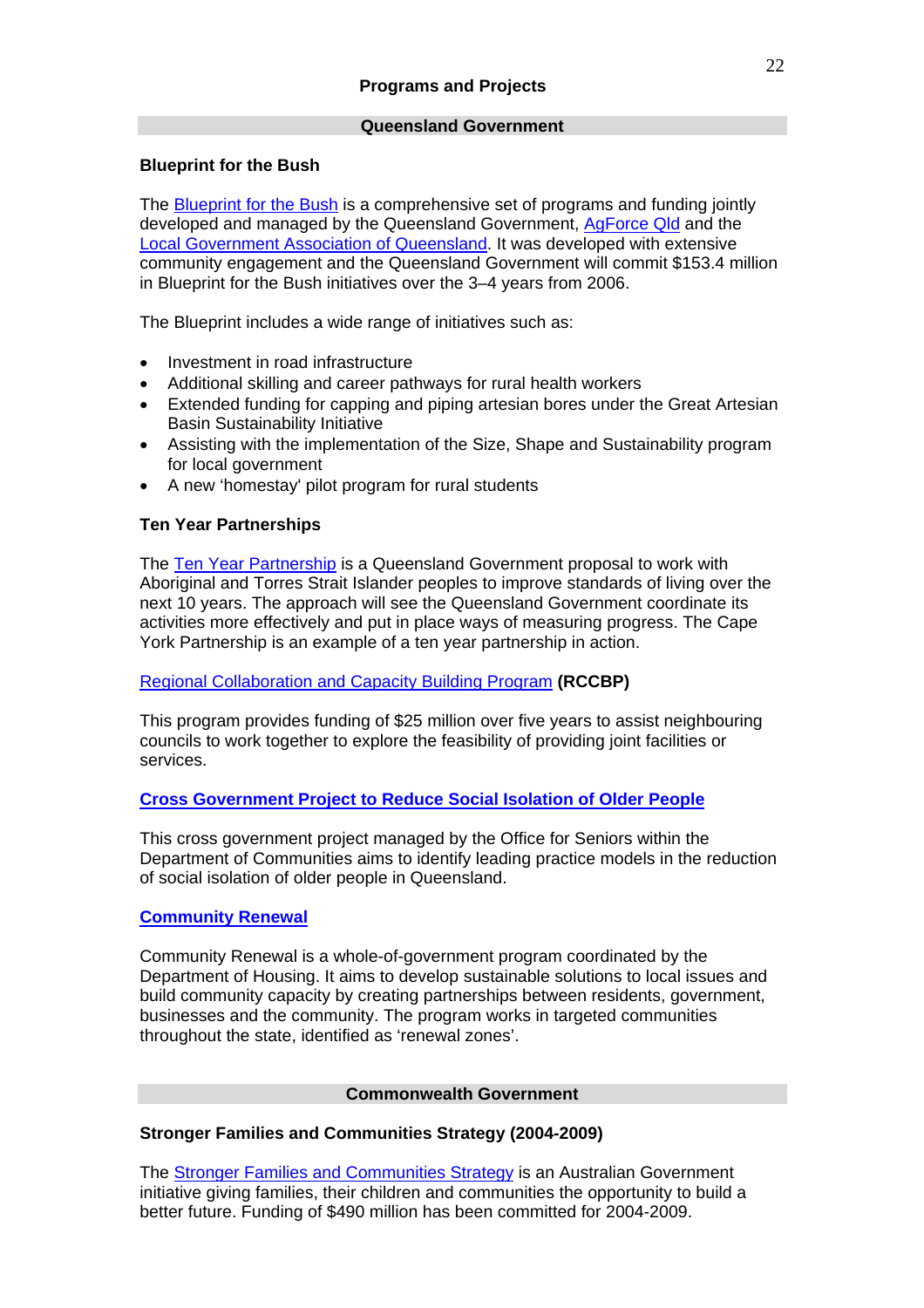# **Queensland Government**

# **Blueprint for the Bush**

The [Blueprint for the Bush](http://www.communities.qld.gov.au/community/regional/blueprint/) is a comprehensive set of programs and funding jointly developed and managed by the Queensland Government, [AgForce Qld](http://www.agforceqld.org.au/) and the [Local Government Association of Queensland.](http://www.lgaq.asn.au/portal/dt) It was developed with extensive community engagement and the Queensland Government will commit \$153.4 million in Blueprint for the Bush initiatives over the 3–4 years from 2006.

The Blueprint includes a wide range of initiatives such as:

- Investment in road infrastructure
- Additional skilling and career pathways for rural health workers
- Extended funding for capping and piping artesian bores under the Great Artesian Basin Sustainability Initiative
- Assisting with the implementation of the Size, Shape and Sustainability program for local government
- A new 'homestay' pilot program [for rural students](http://www.communities.qld.gov.au/community/regional/blueprint/initiatives/support.html)

# **Ten Year Partnerships**

The [Ten Year Partnership](http://www.datsip.qld.gov.au/partnerships) is a Queensland Government proposal to work with Aboriginal and Torres Strait Islander peoples to improve standards of living over the next 10 years. The approach will see the Queensland Government coordinate its activities more effectively and put in place ways of measuring progress. The Cape York Partnership is an example of a ten year partnership in action.

# [Regional Collaboration and Capacity Building Program](http://www.lgp.qld.gov.au/docs/local_govt/grants_subsidies/funding/rccbp/RegCollaborationProgram.pdf) **(RCCBP)**

This program provides funding of \$25 million over five years to assist neighbouring councils to work together to explore the feasibility of providing joint facilities or services.

# **[Cross Government Project to Reduce Social Isolation of Older People](http://www.communities.qld.gov.au/seniors/isolation/)**

This cross government project managed by the [Office for Seniors](http://www.communities.qld.gov.au/seniors/contacts/index.html) within the Department of Communities aims to identify leading practice models in the reduction of social isolation of older people in Queensland.

# **[Community Renewal](http://www.communityrenewal.qld.gov.au/)**

Community Renewal is a whole-of-government program coordinated by the Department of Housing. It aims to develop sustainable solutions to local issues and build community capacity by creating partnerships between residents, government, businesses and the community. The program works in targeted communities throughout the state, identified as 'renewal zones'.

# **Commonwealth Government**

# **Stronger Families and Communities Strategy (2004-2009)**

The [Stronger Families and Communities Strategy](http://www.facsia.gov.au/internet/facsinternet.nsf/aboutfacs/programs/sfsc-sfcs.htm) is an Australian Government initiative giving families, their children and communities the opportunity to build a better future. Funding of \$490 million has been committed for 2004-2009.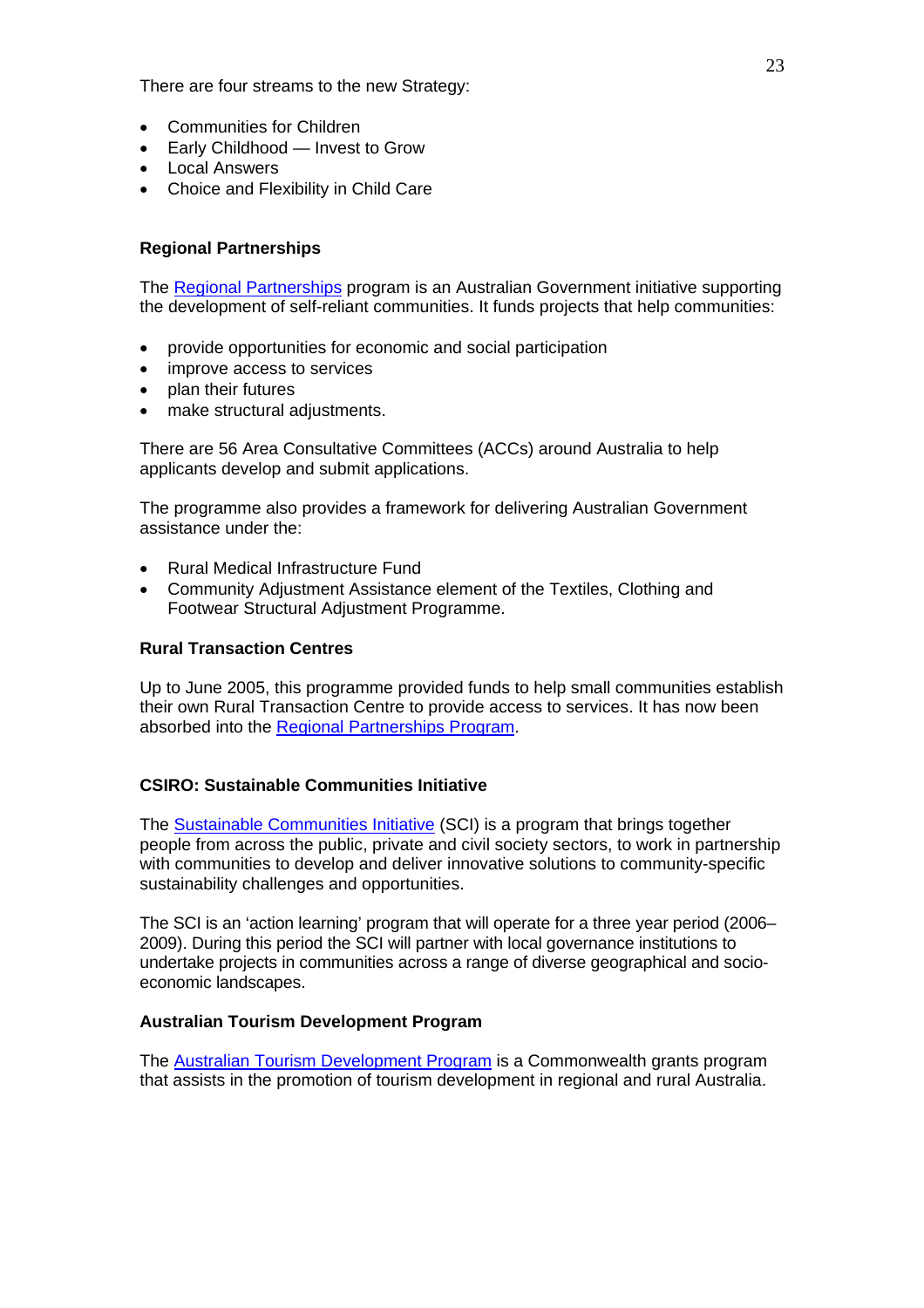There are four streams to the new Strategy:

- Communities for Children
- Early Childhood Invest to Grow
- Local Answers
- Choice and Flexibility in Child Care

# **Regional Partnerships**

The [Regional Partnerships](http://www.regionalpartnerships.gov.au/) program is an Australian Government initiative supporting the development of self-reliant communities. It funds projects that help communities:

- provide opportunities for economic and social participation
- improve access to services
- plan their futures
- make structural adjustments.

There are 56 Area Consultative Committees (ACCs) around Australia to help applicants develop and submit applications.

The programme also provides a framework for delivering Australian Government assistance under the:

- Rural Medical Infrastructure Fund
- Community Adjustment Assistance element of the Textiles, Clothing and Footwear Structural Adjustment Programme.

#### **Rural Transaction Centres**

Up to June 2005, this programme provided funds to help small communities establish their own Rural Transaction Centre to provide access to services. It has now been absorbed into the [Regional Partnerships Program](http://www.regionalpartnerships.gov.au/index.aspx).

# **CSIRO: Sustainable Communities Initiative**

The [Sustainable Communities Initiative](http://www.connected.gov.au/case_studies/csiro_-_sustainable_communities) (SCI) is a program that brings together people from across the public, private and civil society sectors, to work in partnership with communities to develop and deliver innovative solutions to community-specific sustainability challenges and opportunities.

The SCI is an 'action learning' program that will operate for a three year period (2006– 2009). During this period the SCI will partner with local governance institutions to undertake projects in communities across a range of diverse geographical and socioeconomic landscapes.

# **Australian Tourism Development Program**

The [Australian Tourism Development Program](http://www.ausindustry.gov.au/content/level3index.cfm?ObjectID=A241A6BF-9470-45FC-AF72E8AA122553FE&L2Parent=aeb901e5-7cb8-4143-a3bf33b2423f9da6) is a Commonwealth grants program that assists in the promotion of tourism development in regional and rural Australia.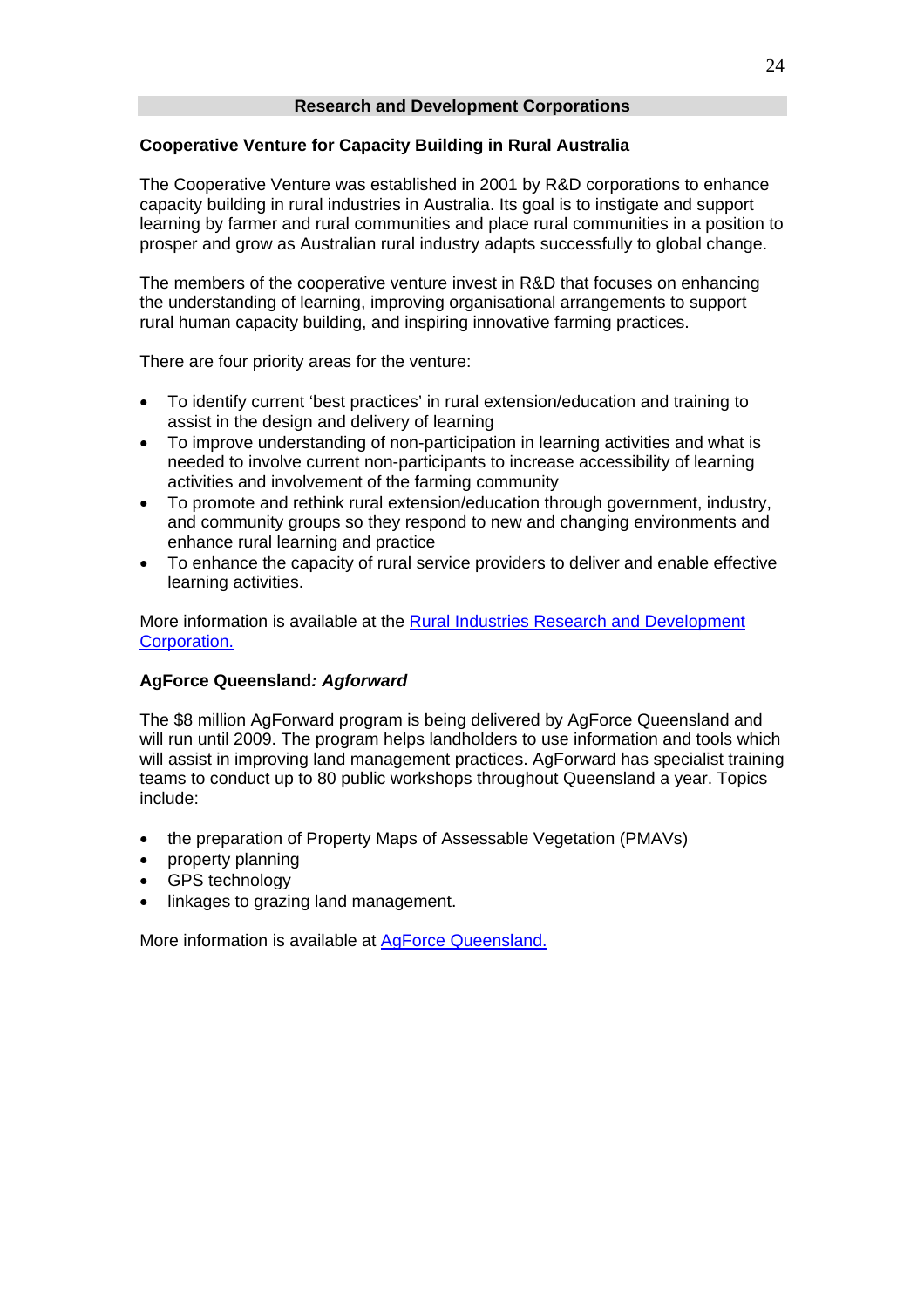# **Cooperative Venture for Capacity Building in Rural Australia**

The Cooperative Venture was established in 2001 by R&D corporations to enhance capacity building in rural industries in Australia. Its goal is to instigate and support learning by farmer and rural communities and place rural communities in a position to prosper and grow as Australian rural industry adapts successfully to global change.

The members of the cooperative venture invest in R&D that focuses on enhancing the understanding of learning, improving organisational arrangements to support rural human capacity building, and inspiring innovative farming practices.

There are four priority areas for the venture:

- To identify current 'best practices' in rural extension/education and training to assist in the design and delivery of learning
- To improve understanding of non-participation in learning activities and what is needed to involve current non-participants to increase accessibility of learning activities and involvement of the farming community
- To promote and rethink rural extension/education through government, industry, and community groups so they respond to new and changing environments and enhance rural learning and practice
- To enhance the capacity of rural service providers to deliver and enable effective learning activities.

More information is available at the [Rural Industries Research and Development](http://www.rirdc.gov.au/capacitybuilding/index.html)  [Corporation](http://www.rirdc.gov.au/capacitybuilding/index.html).

# **AgForce Queensland***: Agforward*

The \$8 million AgForward program is being delivered by AgForce Queensland and will run until 2009. The program helps landholders to use information and tools which will assist in improving land management practices. AgForward has specialist training teams to conduct up to 80 public workshops throughout Queensland a year. Topics include:

- the preparation of Property Maps of Assessable Vegetation (PMAVs)
- property planning
- GPS technology
- linkages to grazing land management.

More information is available at **AgForce Queensland.**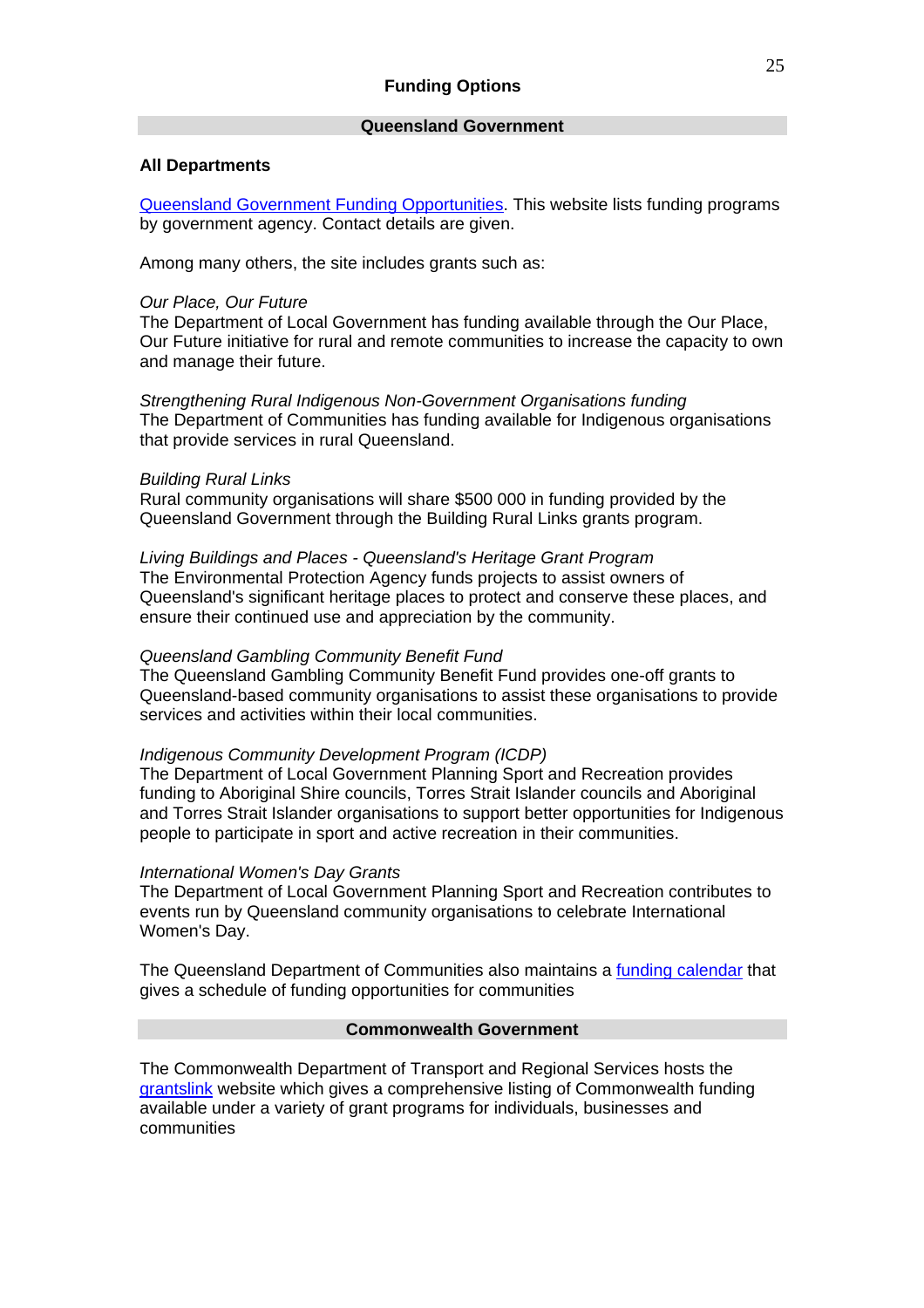#### **Queensland Government**

#### **All Departments**

[Queensland Government Funding Opportunities](http://www.qld.gov.au/grants/). This website lists funding programs by government agency. Contact details are given.

Among many others, the site includes grants such as:

#### *Our Place, Our Future*

The Department of Local Government has funding available through the Our Place, Our Future initiative for rural and remote communities to increase the capacity to own and manage their future.

*Strengthening Rural Indigenous Non-Government Organisations funding*  The Department of Communities has funding available for Indigenous organisations that provide services in rural Queensland.

#### *Building Rural Links*

Rural community organisations will share \$500 000 in funding provided by the Queensland Government through the Building Rural Links grants program.

*Living Buildings and Places - Queensland's Heritage Grant Program*  The Environmental Protection Agency funds projects to assist owners of Queensland's significant heritage places to protect and conserve these places, and ensure their continued use and appreciation by the community.

#### *Queensland Gambling Community Benefit Fund*

The Queensland Gambling Community Benefit Fund provides one-off grants to Queensland-based community organisations to assist these organisations to provide services and activities within their local communities.

#### *[Indigenous Community Development Program \(ICDP\)](http://www.qld.gov.au/grants/grantdetails.action?grantId=8ae5936c063948ea010639497fb0009d)*

The Department of Local Government Planning Sport and Recreation provides funding to Aboriginal Shire councils, Torres Strait Islander councils and Aboriginal and Torres Strait Islander organisations to support better opportunities for Indigenous people to participate in sport and active recreation in their communities.

#### *[International Women's Day Grants](http://www.qld.gov.au/grants/grantdetails.action?grantId=8ae5936c0e332af3010e332b00fc0001)*

The Department of Local Government Planning Sport and Recreation contributes to events run by Queensland community organisations to celebrate International Women's Day.

The Queensland Department of Communities also maintains a [funding calendar](http://www.communities.qld.gov.au/department/funding/calendar/) that gives a schedule of funding opportunities for communities

#### **Commonwealth Government**

The Commonwealth Department of Transport and Regional Services hosts the [grantslink](http://www.grantslink.gov.au/) website which gives a comprehensive listing of Commonwealth funding available under a variety of grant programs for individuals, businesses and communities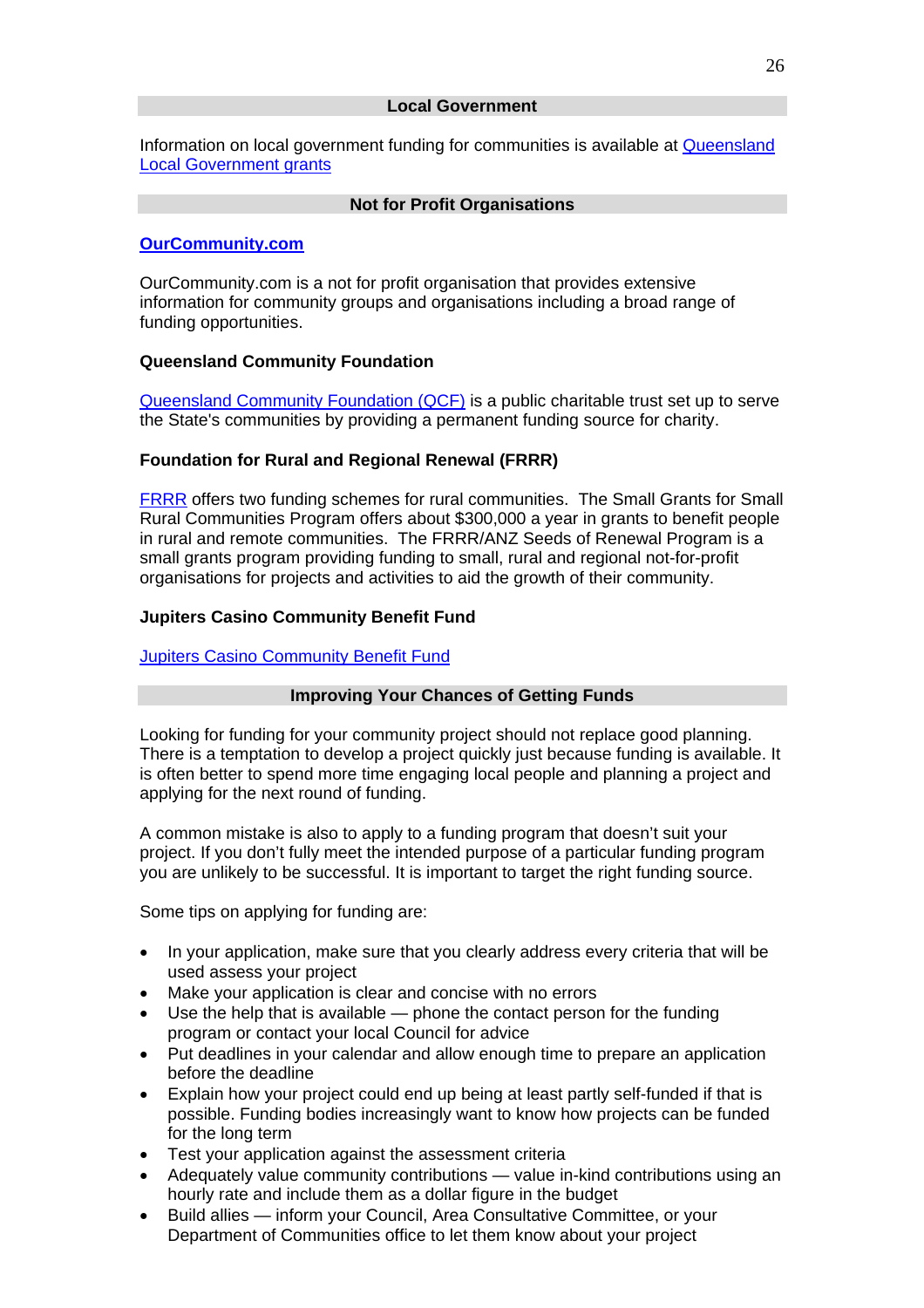Information on local government funding for communities is available at [Queensland](http://www.lgp.qld.gov.au/?ID=57)  [Local Government grants](http://www.lgp.qld.gov.au/?ID=57)

#### **Not for Profit Organisations**

# **[OurCommunity.com](http://www.ourcommunity.com.au/)**

OurCommunity.com is a not for profit organisation that provides extensive information for community groups and organisations including a broad range of funding opportunities.

#### **Queensland Community Foundation**

[Queensland Community Foundation \(QCF\)](http://www.qcf.org.au/) is a public charitable trust set up to serve the State's communities by providing a permanent funding source for charity.

# **Foundation for Rural and Regional Renewal (FRRR)**

[FRRR](http://www.frrr.org.au/) offers two funding schemes for rural communities. The Small Grants for Small Rural Communities Program offers about \$300,000 a year in grants to benefit people in rural and remote communities. The FRRR/ANZ Seeds of Renewal Program is a small grants program providing funding to small, rural and regional not-for-profit organisations for projects and activities to aid the growth of their community.

#### **Jupiters Casino Community Benefit Fund**

#### [Jupiters Casino Community Benefit Fund](http://www.jccbf.org.au/)

#### **Improving Your Chances of Getting Funds**

Looking for funding for your community project should not replace good planning. There is a temptation to develop a project quickly just because funding is available. It is often better to spend more time engaging local people and planning a project and applying for the next round of funding.

A common mistake is also to apply to a funding program that doesn't suit your project. If you don't fully meet the intended purpose of a particular funding program you are unlikely to be successful. It is important to target the right funding source.

Some tips on applying for funding are:

- In your application, make sure that you clearly address every criteria that will be used assess your project
- Make your application is clear and concise with no errors
- Use the help that is available phone the contact person for the funding program or contact your local Council for advice
- Put deadlines in your calendar and allow enough time to prepare an application before the deadline
- Explain how your project could end up being at least partly self-funded if that is possible. Funding bodies increasingly want to know how projects can be funded for the long term
- Test your application against the assessment criteria
- Adequately value community contributions value in-kind contributions using an hourly rate and include them as a dollar figure in the budget
- Build allies inform your Council, Area Consultative Committee, or your Department of Communities office to let them know about your project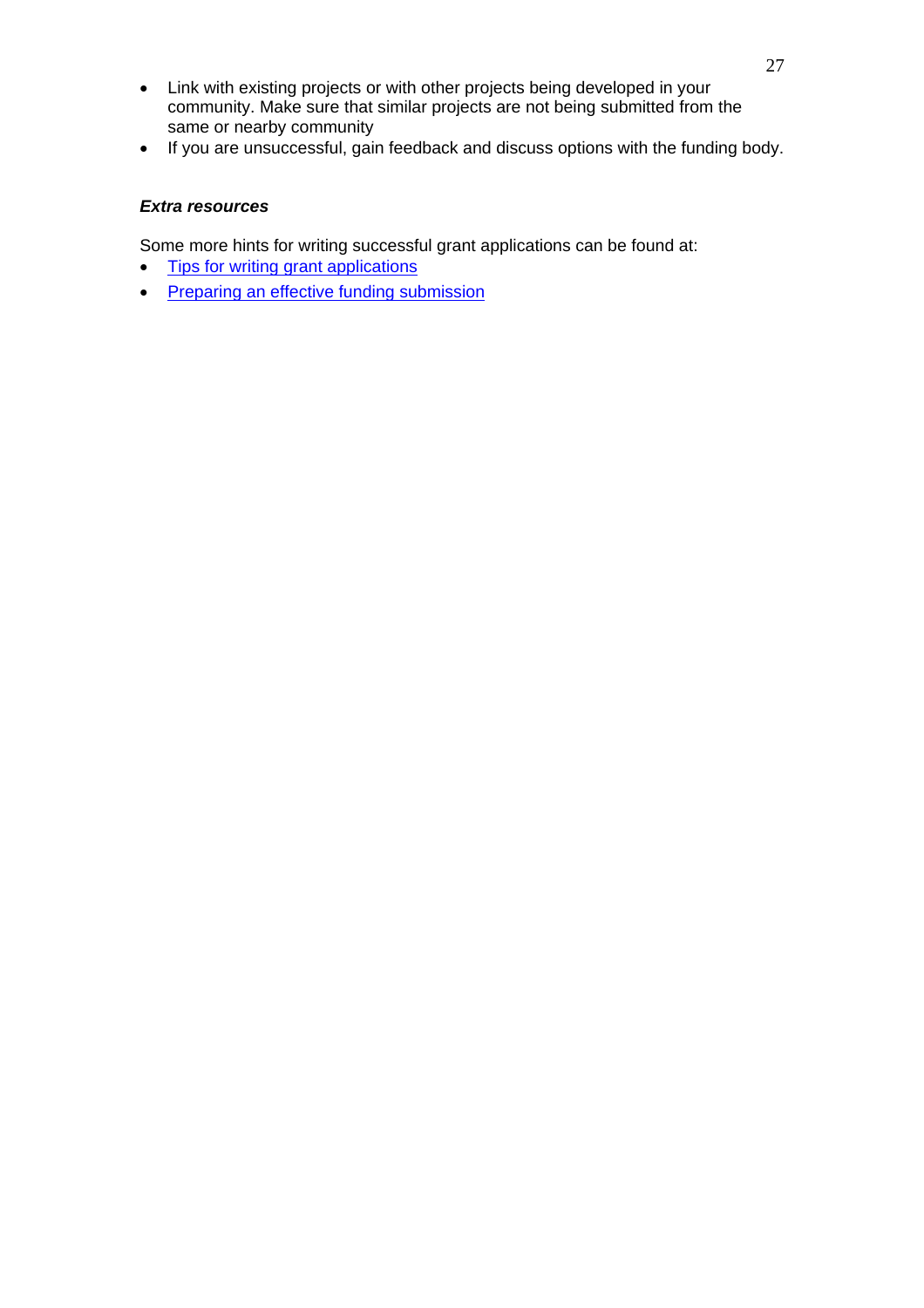- Link with existing projects or with other projects being developed in your community. Make sure that similar projects are not being submitted from the same or nearby community
- If you are unsuccessful, gain feedback and discuss options with the funding body.

# *Extra resources*

Some more hints for writing successful grant applications can be found at:

- [Tips for writing grant applications](http://www.youthcentral.vic.gov.au/Government+Info+%26+Assistance/Grants/Tips+for+writing+grant+applications/)
- [Preparing an effective funding submission](http://www.grants.ord.sa.gov.au/grant_prepare.html)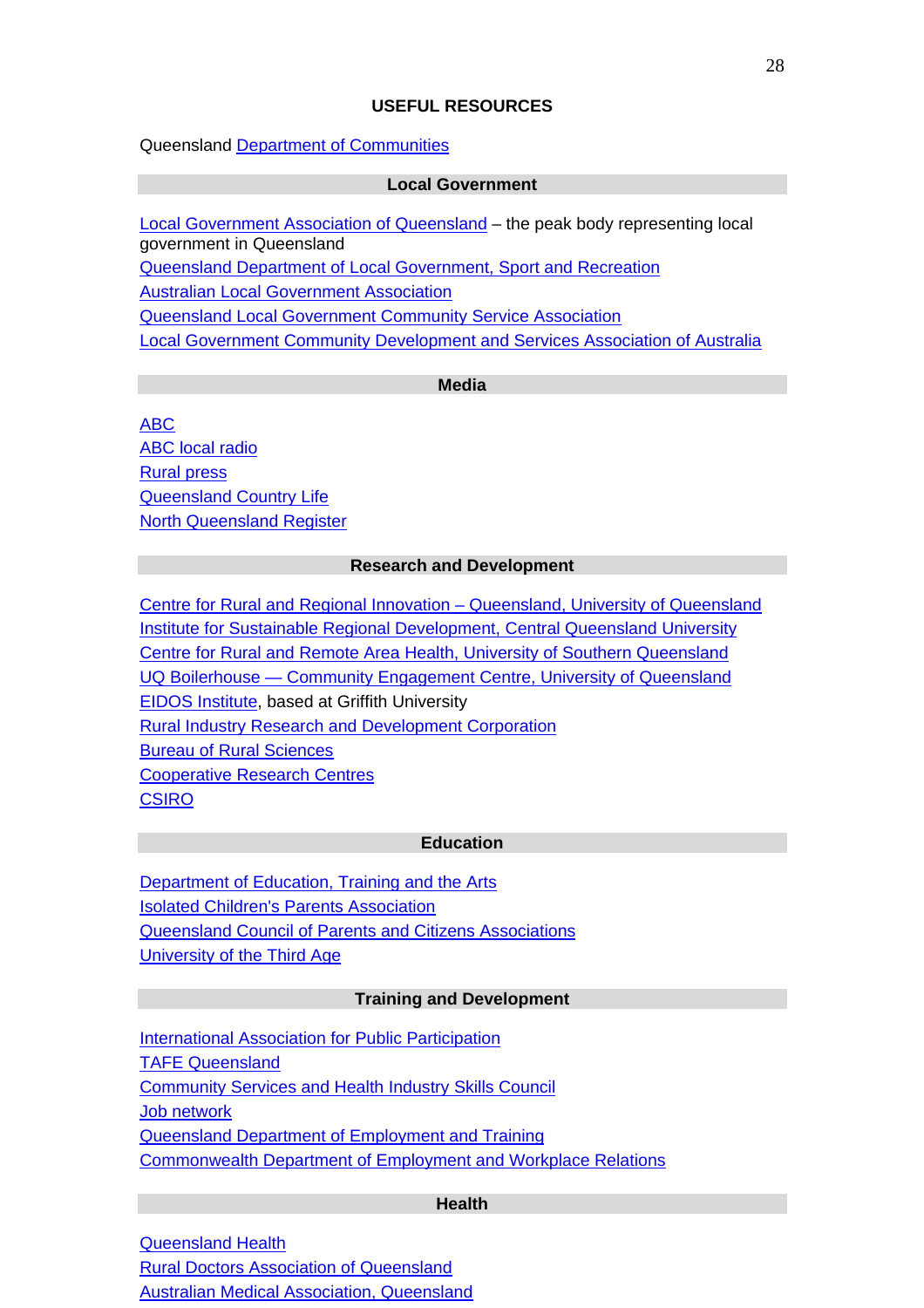# **USEFUL RESOURCES**

Queensland [Department of Communities](http://www.communities.qld.gov.au/)

#### **Local Government**

[Local Government Association of Queensland](http://www.lgaq.asn.au/) – the peak body representing local government in Queensland

[Queensland Department of Local Government, Sport and Recreation](http://www.dlgpsr.qld.gov.au/)

[Australian Local Government Association](http://www.alga.asn.au/)

[Queensland Local Government Community Service Association](http://www.qlgcsa.org.au/)

[Local Government Community Development and Services Association of Australia](http://www.lgcsaa.org.au/)

# **Media**

[ABC](http://www.abc.net.au/) [ABC local radio](http://www.abc.net.au/radio/localradio/) [Rural press](http://www.ruralpress.com/) [Queensland Country Life](http://qcl.farmonline.com.au/home.asp) [North Queensland Register](http://nqr.farmonline.com.au/home.asp)

#### **Research and Development**

[Centre for Rural and Regional Innovation – Queensland, University of Queensland](http://www.crriq.edu.au/)  [Institute for Sustainable Regional Development, Central Queensland University](http://www.isrd.cqu.edu.au/) [Centre for Rural and Remote Area Health, University of Southern Queensland](http://www.usq.edu.au/crrah) [UQ Boilerhouse — Community Engagement Centre, University of Queensland](http://www.uq.edu.au/boilerhouse) [EIDOS Institute,](http://www.eidos.infoxchange.net.au/) based at Griffith University [Rural Industry Research and Development Corporation](http://www.rirdc.gov.au/) [Bureau of Rural Sciences](http://www.daff.gov.au/brs) [Cooperative Research Centres](http://www.crc.gov.au/) **[CSIRO](http://www.csiro.au/)** 

#### **Education**

[Department of Education, Training and the Arts](http://www.education.qld.gov.au/) [Isolated Children's Parents Association](http://www.icpa.com.au/) [Queensland Council of Parents and Citizens Associations](http://www.qcpca.org.au/) [University of the Third Age](http://www3.griffith.edu.au/03/u3a/)

#### **Training and Development**

**[International Association for Public Participation](http://www.iap2.org.au/)** [TAFE Queensland](http://www.tafe.qld.gov.au/) [Community Services and Health Industry Skills Council](http://www.cshisc.com.au/) [Job network](http://www.jobnetwork.gov.au/) [Queensland Department of Employment and Training](http://www.training.qld.gov.au/) [Commonwealth Department of Employment and Workplace Relations](http://www.dewr.gov.au/)

#### **Health**

[Queensland Health](http://www.health.qld.gov.au/) [Rural Doctors Association of Queensland](http://www.rdaq.com.au/) [Australian Medical Association, Queensland](http://www.amaq.com.au/)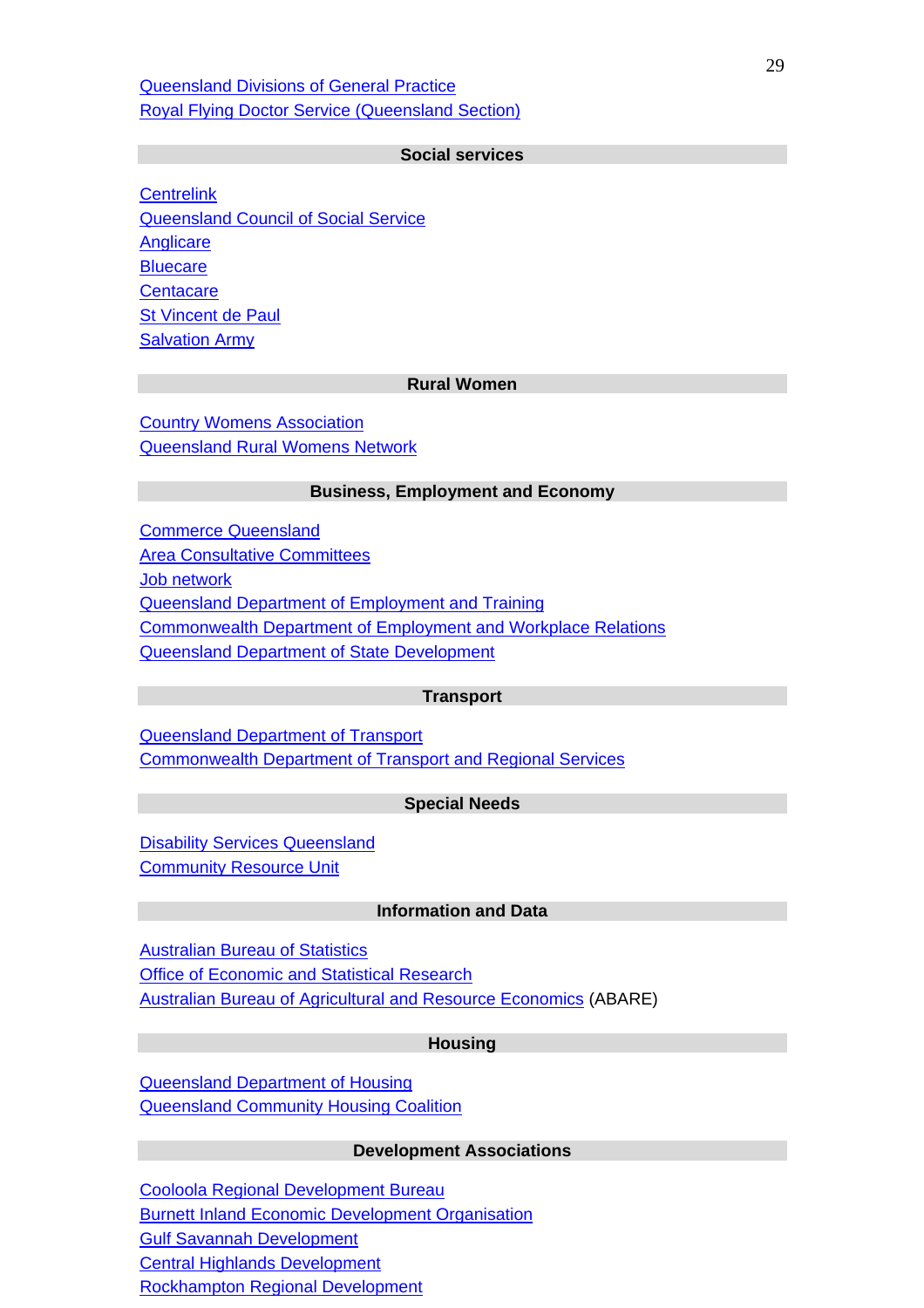[Queensland Divisions of General Practice](http://www.qdgp.org.au/) [Royal Flying Doctor Service \(Queensland Section\)](http://www.flyingdoctor.org.au/)

#### **Social services**

**[Centrelink](http://www.centrelink.gov.au/)** [Queensland Council of Social Service](http://www.qcoss.org.au/) **[Anglicare](http://www.anglicarebrisbane.com/) [Bluecare](http://www.bluecare.org.au/) [Centacare](http://www.centacarebrisbane.net.au/index.php) [St Vincent de Paul](http://www.vinnies.org.au/)** [Salvation Army](http://www.salvos.org.au/)

#### **Rural Women**

[Country Womens Association](http://www.qcwa.org.au/) [Queensland Rural Womens Network](http://www.qrwn.org.au/)

#### **Business, Employment and Economy**

[Commerce Queensland](http://www.commerceqld.com.au/) [Area Consultative Committees](http://www.acc.gov.au/) [Job network](http://www.jobnetwork.gov.au/) [Queensland Department of Employment and Training](http://www.training.qld.gov.au/) [Commonwealth Department of Employment and Workplace Relations](http://www.dewr.gov.au/) [Queensland Department of State Development](http://www.sd.qld.gov.au/) 

#### **Transport**

[Queensland Department of Transport](http://www.transport.qld.gov.au/) [Commonwealth Department of Transport and Regional Services](http://www.dotars.gov.au/)

#### **Special Needs**

**[Disability Services Queensland](http://www.disability.qld.gov.au/)** [Community Resource Unit](http://www.cru.org.au/)

#### **Information and Data**

[Australian Bureau of Statistics](http://www.abs.gov.au/) [Office of Economic and Statistical Research](http://www.oesr.qld.gov.au/) [Australian Bureau of Agricultural and Resource Economics](http://www.abareconomics.com/) (ABARE)

#### **Housing**

[Queensland Department of Housing](http://www.housing.qld.gov.au/) [Queensland Community Housing Coalition](http://www.qchc.asn.au/)

#### **Development Associations**

[Cooloola Regional Development Bureau](http://www.cooloola.org.au/) [Burnett Inland Economic Development Organisation](http://www.biedo.org.au/) [Gulf Savannah Development](http://www.gulf-savannah.com.au/) [Central Highlands Development](http://www.chdc.com.au/) [Rockhampton Regional Development](http://www.cqris.com.au/)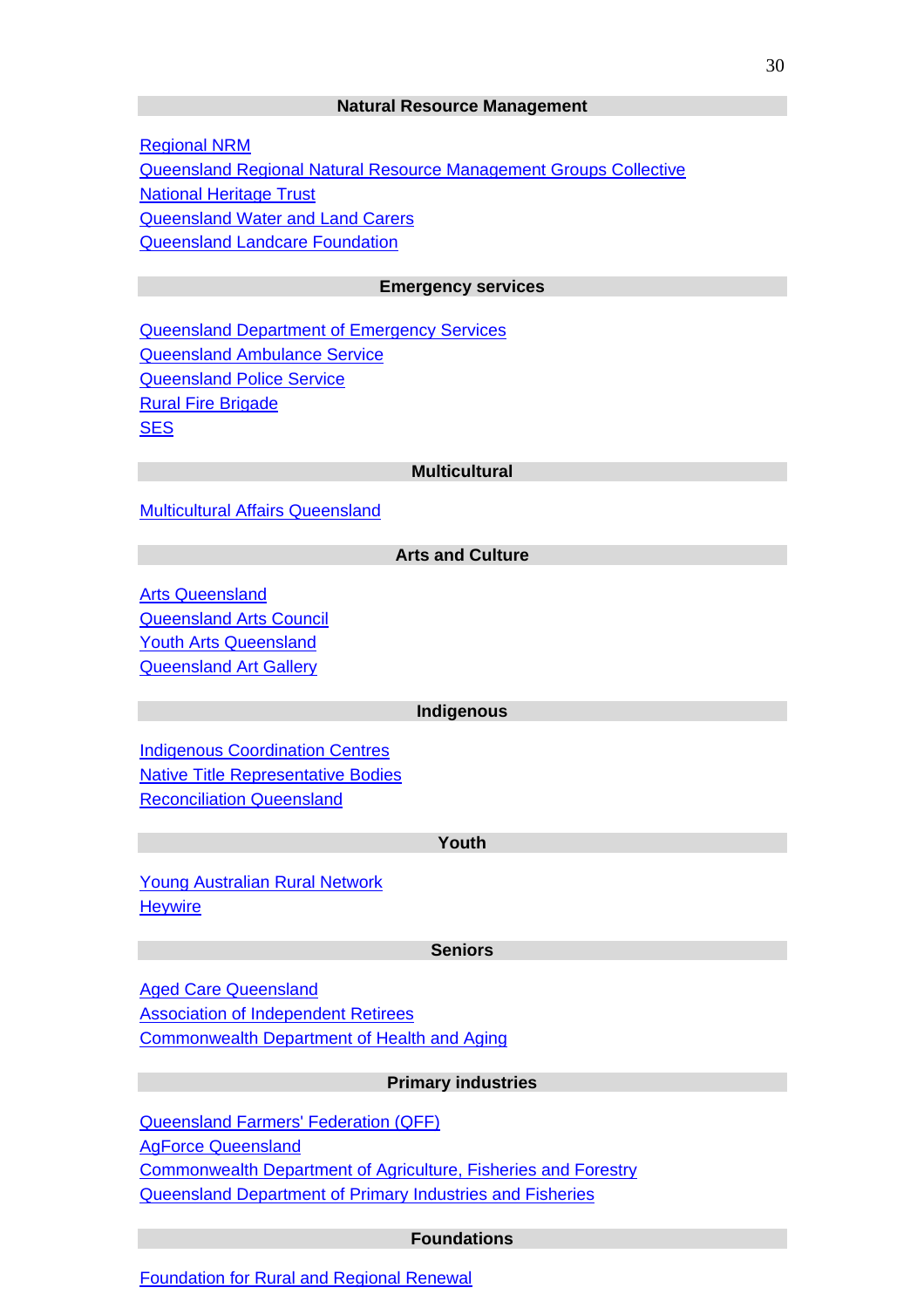#### **Natural Resource Management**

[Regional NRM](http://www.regionalnrm.qld.gov.au/) [Queensland Regional Natural Resource Management Groups Collective](http://www.rgc.org.au/) [National Heritage Trust](http://www.nht.gov.au/) [Queensland Water and Land Carers](http://www.landcareqld.org.au/) [Queensland Landcare Foundation](http://www.landcare.org.au/)

#### **Emergency services**

[Queensland Department of Emergency Services](http://www.emergency.qld.gov.au/) [Queensland Ambulance Service](http://www.ambulance.qld.gov.au/) [Queensland Police Service](http://www.police.qld.gov.au/) [Rural Fire Brigade](http://www.ruralfire.qld.gov.au/) **[SES](http://www.emergency.qld.gov.au/ses/)** 

#### **Multicultural**

[Multicultural Affairs Queensland](http://www.multicultural.qld.gov.au/)

#### **Arts and Culture**

[Arts Queensland](http://www.arts.qld.gov.au/) [Queensland Arts Council](http://www.qac.org.au/)  [Youth Arts Queensland](http://www.yaq.org.au/)  [Queensland Art Gallery](http://www.qag.qld.gov.au/)

#### **Indigenous**

[Indigenous Coordination Centres](http://www.indigenous.gov.au/icc) [Native Title Representative Bodies](http://ntru.aiatsis.gov.au/research/resourceguide/statesandterritories/QLD/qld03.html) [Reconciliation Queensland](http://www.reconciliation.org.au/)

#### **Youth**

[Young Australian Rural Network](http://www.yarn.gov.au/) **Heywire** 

#### **Seniors**

[Aged Care Queensland](http://www.acqi.org.au/) [Association of Independent Retirees](http://www.independentretirees.com/) [Commonwealth Department of Health and Aging](http://www.health.gov.au/)

#### **Primary industries**

[Queensland Farmers' Federation \(QFF\)](http://www.qff.org.au/) [AgForce Queensland](http://www.agforceqld.org.au/) [Commonwealth Department of Agriculture, Fisheries and Forestry](http://www.daff.gov.au/) [Queensland Department of Primary Industries and Fisheries](http://www.dpi.qld.gov.au/)

#### **Foundations**

[Foundation for Rural and Regional Renewal](http://www.frrr.org.au/)